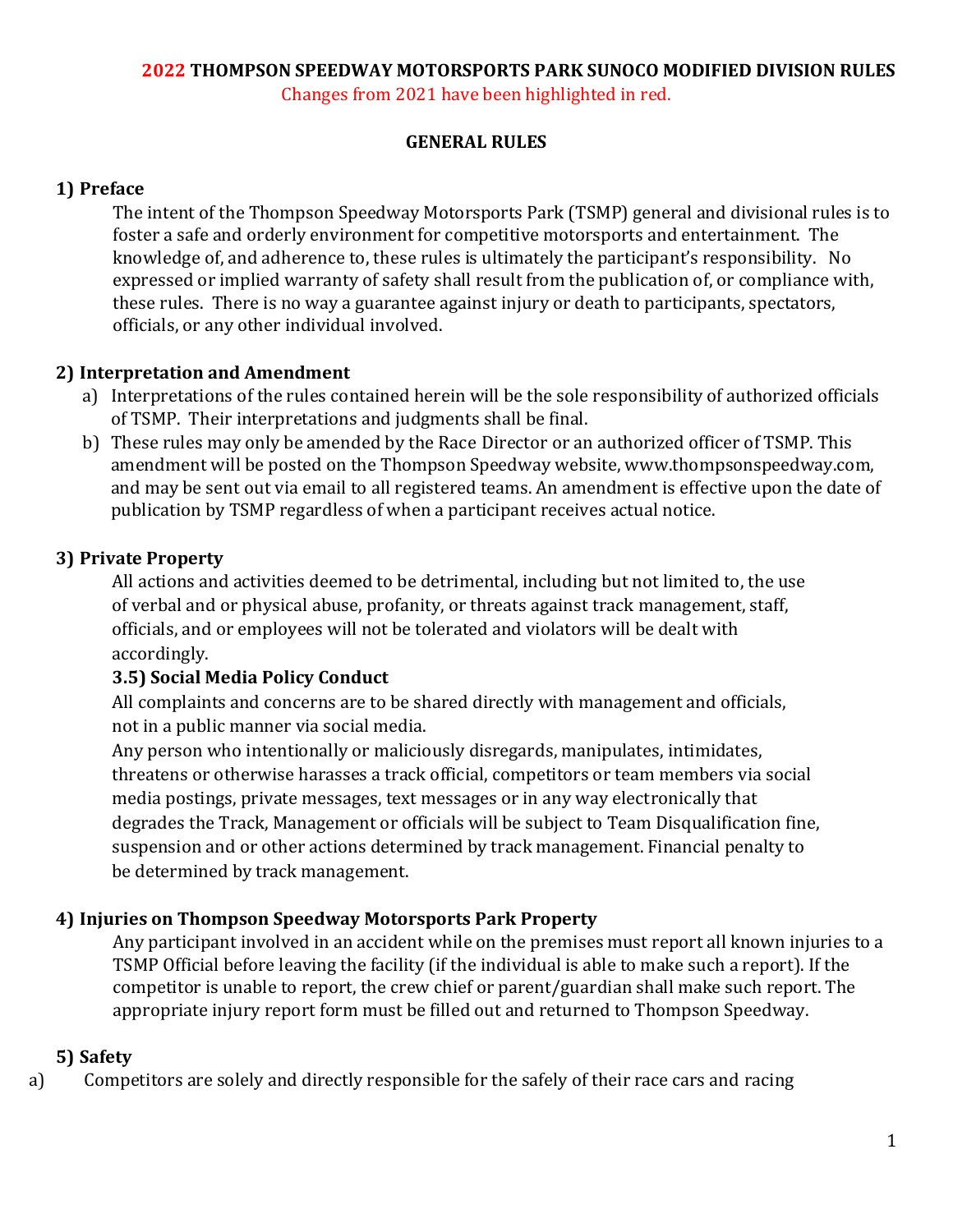## **2022 THOMPSON SPEEDWAY MOTORSPORTS PARK SUNOCO MODIFIED DIVISION RULES**

Changes from 2021 have been highlighted in red.

#### **GENERAL RULES**

### **1) Preface**

The intent of the Thompson Speedway Motorsports Park (TSMP) general and divisional rules is to foster a safe and orderly environment for competitive motorsports and entertainment. The knowledge of, and adherence to, these rules is ultimately the participant's responsibility. No expressed or implied warranty of safety shall result from the publication of, or compliance with, these rules. There is no way a guarantee against injury or death to participants, spectators, officials, or any other individual involved.

### **2) Interpretation and Amendment**

- a) Interpretations of the rules contained herein will be the sole responsibility of authorized officials of TSMP. Their interpretations and judgments shall be final.
- b) These rules may only be amended by the Race Director or an authorized officer of TSMP. This amendment will be posted on the Thompson Speedway website, www.thompsonspeedway.com, and may be sent out via email to all registered teams. An amendment is effective upon the date of publication by TSMP regardless of when a participant receives actual notice.

### **3) Private Property**

All actions and activities deemed to be detrimental, including but not limited to, the use of verbal and or physical abuse, profanity, or threats against track management, staff, officials, and or employees will not be tolerated and violators will be dealt with accordingly.

#### **3.5) Social Media Policy Conduct**

All complaints and concerns are to be shared directly with management and officials, not in a public manner via social media.

Any person who intentionally or maliciously disregards, manipulates, intimidates, threatens or otherwise harasses a track official, competitors or team members via social media postings, private messages, text messages or in any way electronically that degrades the Track, Management or officials will be subject to Team Disqualification fine, suspension and or other actions determined by track management. Financial penalty to be determined by track management.

### **4) Injuries on Thompson Speedway Motorsports Park Property**

Any participant involved in an accident while on the premises must report all known injuries to a TSMP Official before leaving the facility (if the individual is able to make such a report). If the competitor is unable to report, the crew chief or parent/guardian shall make such report. The appropriate injury report form must be filled out and returned to Thompson Speedway.

#### **5) Safety**

a) Competitors are solely and directly responsible for the safely of their race cars and racing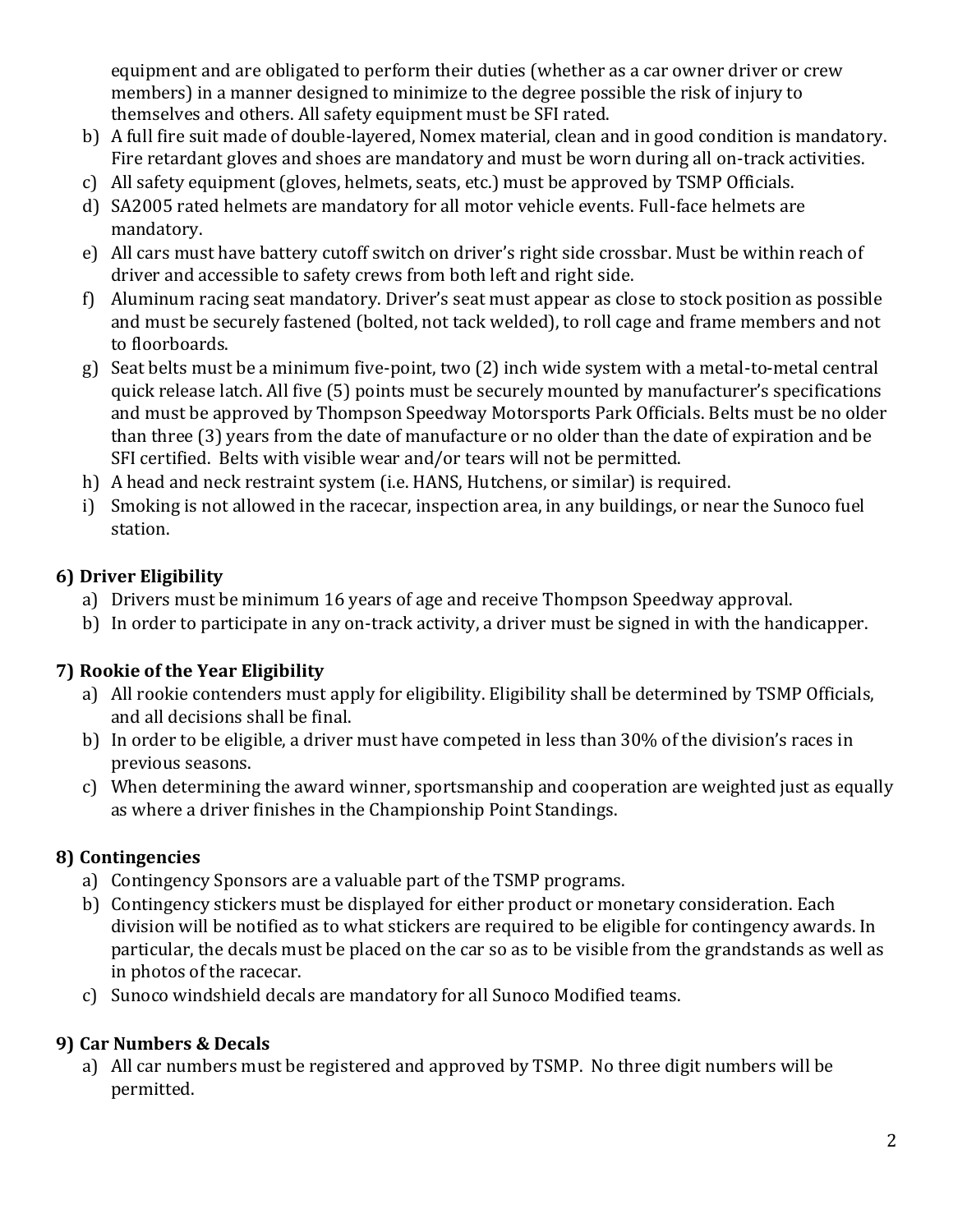equipment and are obligated to perform their duties (whether as a car owner driver or crew members) in a manner designed to minimize to the degree possible the risk of injury to themselves and others. All safety equipment must be SFI rated.

- b) A full fire suit made of double-layered, Nomex material, clean and in good condition is mandatory. Fire retardant gloves and shoes are mandatory and must be worn during all on-track activities.
- c) All safety equipment (gloves, helmets, seats, etc.) must be approved by TSMP Officials.
- d) SA2005 rated helmets are mandatory for all motor vehicle events. Full-face helmets are mandatory.
- e) All cars must have battery cutoff switch on driver's right side crossbar. Must be within reach of driver and accessible to safety crews from both left and right side.
- f) Aluminum racing seat mandatory. Driver's seat must appear as close to stock position as possible and must be securely fastened (bolted, not tack welded), to roll cage and frame members and not to floorboards.
- g) Seat belts must be a minimum five-point, two (2) inch wide system with a metal-to-metal central quick release latch. All five (5) points must be securely mounted by manufacturer's specifications and must be approved by Thompson Speedway Motorsports Park Officials. Belts must be no older than three (3) years from the date of manufacture or no older than the date of expiration and be SFI certified. Belts with visible wear and/or tears will not be permitted.
- h) A head and neck restraint system (i.e. HANS, Hutchens, or similar) is required.
- i) Smoking is not allowed in the racecar, inspection area, in any buildings, or near the Sunoco fuel station.

## **6) Driver Eligibility**

- a) Drivers must be minimum 16 years of age and receive Thompson Speedway approval.
- b) In order to participate in any on-track activity, a driver must be signed in with the handicapper.

# **7) Rookie of the Year Eligibility**

- a) All rookie contenders must apply for eligibility. Eligibility shall be determined by TSMP Officials, and all decisions shall be final.
- b) In order to be eligible, a driver must have competed in less than 30% of the division's races in previous seasons.
- c) When determining the award winner, sportsmanship and cooperation are weighted just as equally as where a driver finishes in the Championship Point Standings.

# **8) Contingencies**

- a) Contingency Sponsors are a valuable part of the TSMP programs.
- b) Contingency stickers must be displayed for either product or monetary consideration. Each division will be notified as to what stickers are required to be eligible for contingency awards. In particular, the decals must be placed on the car so as to be visible from the grandstands as well as in photos of the racecar.
- c) Sunoco windshield decals are mandatory for all Sunoco Modified teams.

# **9) Car Numbers & Decals**

a) All car numbers must be registered and approved by TSMP. No three digit numbers will be permitted.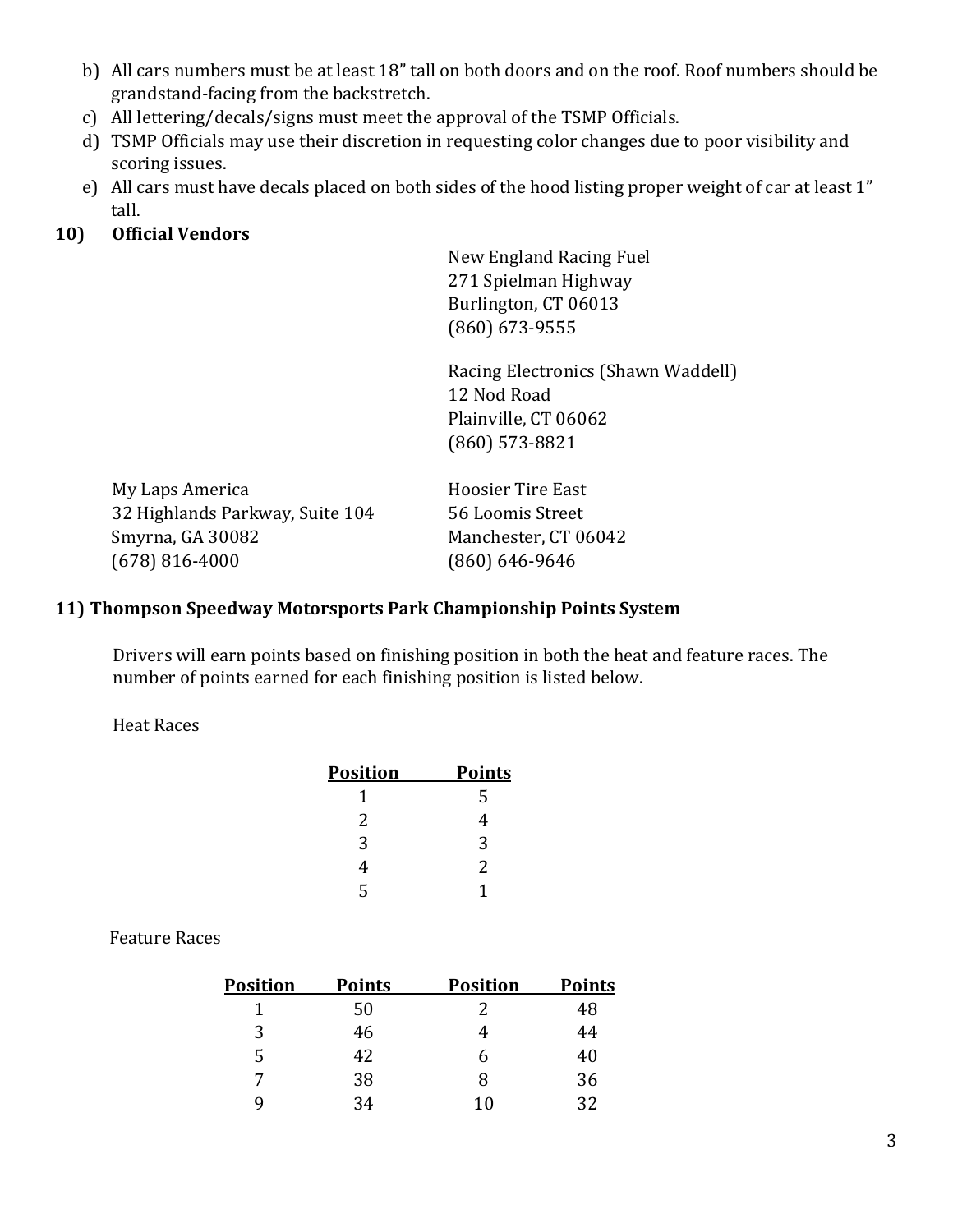- b) All cars numbers must be at least 18" tall on both doors and on the roof. Roof numbers should be grandstand-facing from the backstretch.
- c) All lettering/decals/signs must meet the approval of the TSMP Officials.
- d) TSMP Officials may use their discretion in requesting color changes due to poor visibility and scoring issues.
- e) All cars must have decals placed on both sides of the hood listing proper weight of car at least 1" tall.

#### **10) Official Vendors**

New England Racing Fuel 271 Spielman Highway Burlington, CT 06013 (860) 673-9555

Racing Electronics (Shawn Waddell) 12 Nod Road Plainville, CT 06062 (860) 573-8821

My Laps America **Hoosier Tire East** 32 Highlands Parkway, Suite 104 56 Loomis Street Smyrna, GA 30082 Manchester, CT 06042 (678) 816-4000 (860) 646-9646

#### **11) Thompson Speedway Motorsports Park Championship Points System**

Drivers will earn points based on finishing position in both the heat and feature races. The number of points earned for each finishing position is listed below.

#### Heat Races

| <b>Position</b> | <b>Points</b> |
|-----------------|---------------|
|                 | 5             |
| 2               | 4             |
| 3               | 3             |
| 4               | 2             |
| 5               |               |

#### Feature Races

| <b>Position</b> | <b>Points</b> | <b>Position</b> | <b>Points</b> |
|-----------------|---------------|-----------------|---------------|
|                 | 50            |                 | 48            |
| 3               | 46            |                 | 44            |
| 5               | 42.           |                 | 40            |
| 7               | 38            | x               | 36            |
| Q               | 34            | 10              | 32            |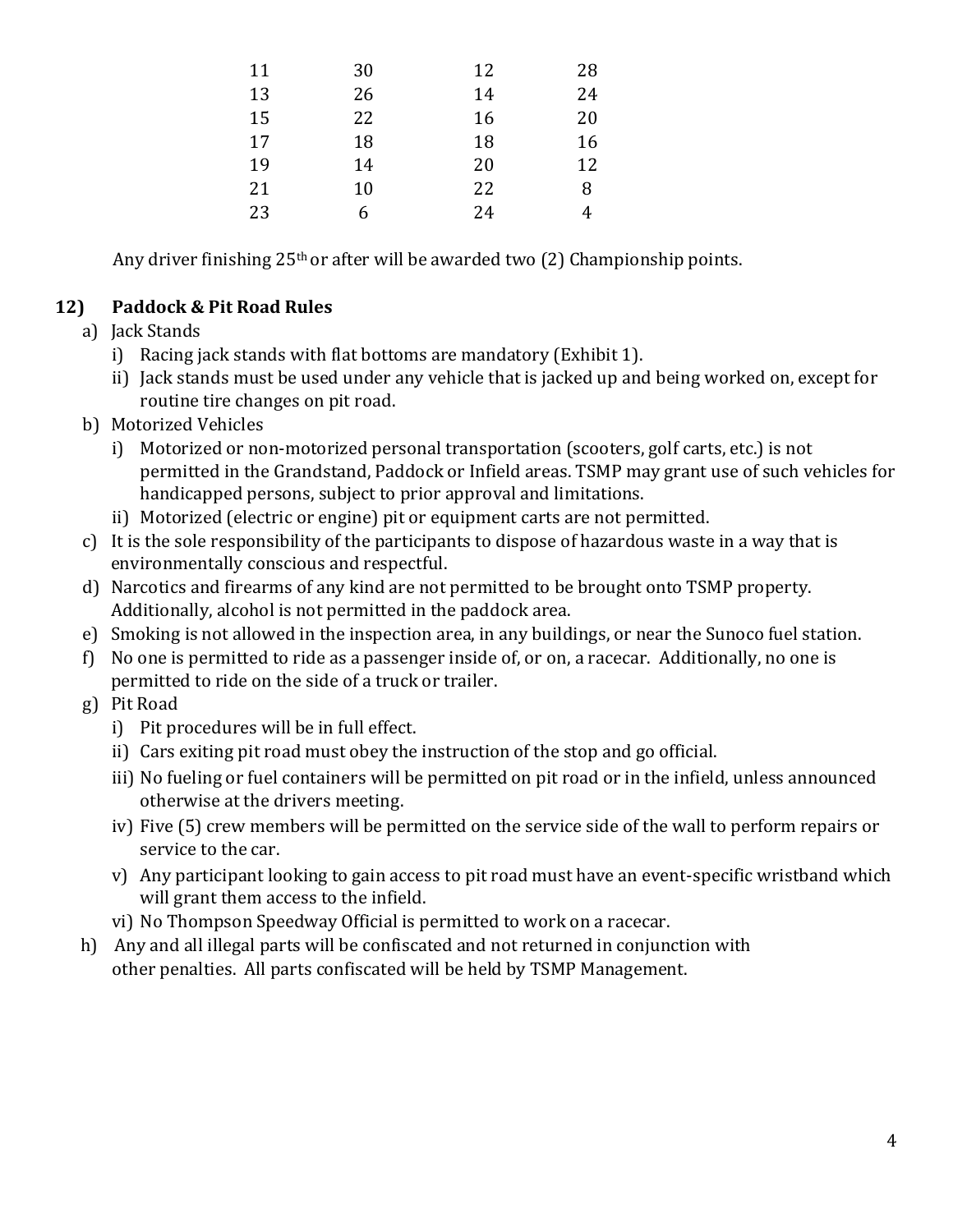| 11 | 30 | 12 | 28 |
|----|----|----|----|
| 13 | 26 | 14 | 24 |
| 15 | 22 | 16 | 20 |
| 17 | 18 | 18 | 16 |
| 19 | 14 | 20 | 12 |
| 21 | 10 | 22 | 8  |
| 23 | 6  | 24 | 4  |

Any driver finishing 25th or after will be awarded two (2) Championship points.

### **12) Paddock & Pit Road Rules**

- a) Jack Stands
	- i) Racing jack stands with flat bottoms are mandatory (Exhibit 1).
	- ii) Jack stands must be used under any vehicle that is jacked up and being worked on, except for routine tire changes on pit road.
- b) Motorized Vehicles
	- i) Motorized or non-motorized personal transportation (scooters, golf carts, etc.) is not permitted in the Grandstand, Paddock or Infield areas. TSMP may grant use of such vehicles for handicapped persons, subject to prior approval and limitations.
	- ii) Motorized (electric or engine) pit or equipment carts are not permitted.
- c) It is the sole responsibility of the participants to dispose of hazardous waste in a way that is environmentally conscious and respectful.
- d) Narcotics and firearms of any kind are not permitted to be brought onto TSMP property. Additionally, alcohol is not permitted in the paddock area.
- e) Smoking is not allowed in the inspection area, in any buildings, or near the Sunoco fuel station.
- f) No one is permitted to ride as a passenger inside of, or on, a racecar. Additionally, no one is permitted to ride on the side of a truck or trailer.
- g) Pit Road
	- i) Pit procedures will be in full effect.
	- ii) Cars exiting pit road must obey the instruction of the stop and go official.
	- iii) No fueling or fuel containers will be permitted on pit road or in the infield, unless announced otherwise at the drivers meeting.
	- iv) Five (5) crew members will be permitted on the service side of the wall to perform repairs or service to the car.
	- v) Any participant looking to gain access to pit road must have an event-specific wristband which will grant them access to the infield.
	- vi) No Thompson Speedway Official is permitted to work on a racecar.
- h) Any and all illegal parts will be confiscated and not returned in conjunction with other penalties. All parts confiscated will be held by TSMP Management.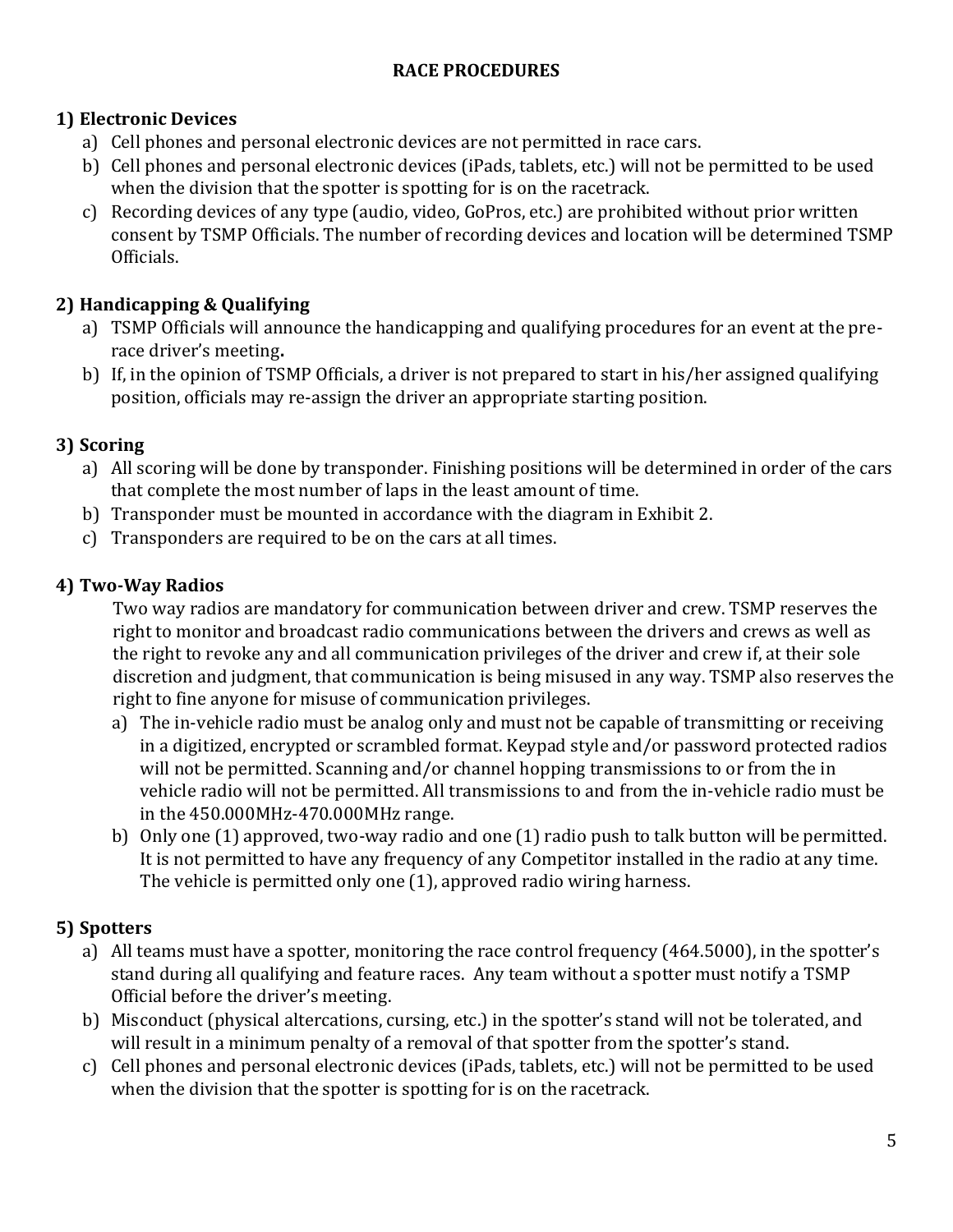### **RACE PROCEDURES**

### **1) Electronic Devices**

- a) Cell phones and personal electronic devices are not permitted in race cars.
- b) Cell phones and personal electronic devices (iPads, tablets, etc.) will not be permitted to be used when the division that the spotter is spotting for is on the racetrack.
- c) Recording devices of any type (audio, video, GoPros, etc.) are prohibited without prior written consent by TSMP Officials. The number of recording devices and location will be determined TSMP Officials.

## **2) Handicapping & Qualifying**

- a) TSMP Officials will announce the handicapping and qualifying procedures for an event at the prerace driver's meeting**.**
- b) If, in the opinion of TSMP Officials, a driver is not prepared to start in his/her assigned qualifying position, officials may re-assign the driver an appropriate starting position.

### **3) Scoring**

- a) All scoring will be done by transponder. Finishing positions will be determined in order of the cars that complete the most number of laps in the least amount of time.
- b) Transponder must be mounted in accordance with the diagram in Exhibit 2.
- c) Transponders are required to be on the cars at all times.

### **4) Two-Way Radios**

Two way radios are mandatory for communication between driver and crew. TSMP reserves the right to monitor and broadcast radio communications between the drivers and crews as well as the right to revoke any and all communication privileges of the driver and crew if, at their sole discretion and judgment, that communication is being misused in any way. TSMP also reserves the right to fine anyone for misuse of communication privileges.

- a) The in-vehicle radio must be analog only and must not be capable of transmitting or receiving in a digitized, encrypted or scrambled format. Keypad style and/or password protected radios will not be permitted. Scanning and/or channel hopping transmissions to or from the in vehicle radio will not be permitted. All transmissions to and from the in-vehicle radio must be in the 450.000MHz-470.000MHz range.
- b) Only one (1) approved, two-way radio and one (1) radio push to talk button will be permitted. It is not permitted to have any frequency of any Competitor installed in the radio at any time. The vehicle is permitted only one (1), approved radio wiring harness.

## **5) Spotters**

- a) All teams must have a spotter, monitoring the race control frequency (464.5000), in the spotter's stand during all qualifying and feature races. Any team without a spotter must notify a TSMP Official before the driver's meeting.
- b) Misconduct (physical altercations, cursing, etc.) in the spotter's stand will not be tolerated, and will result in a minimum penalty of a removal of that spotter from the spotter's stand.
- c) Cell phones and personal electronic devices (iPads, tablets, etc.) will not be permitted to be used when the division that the spotter is spotting for is on the racetrack.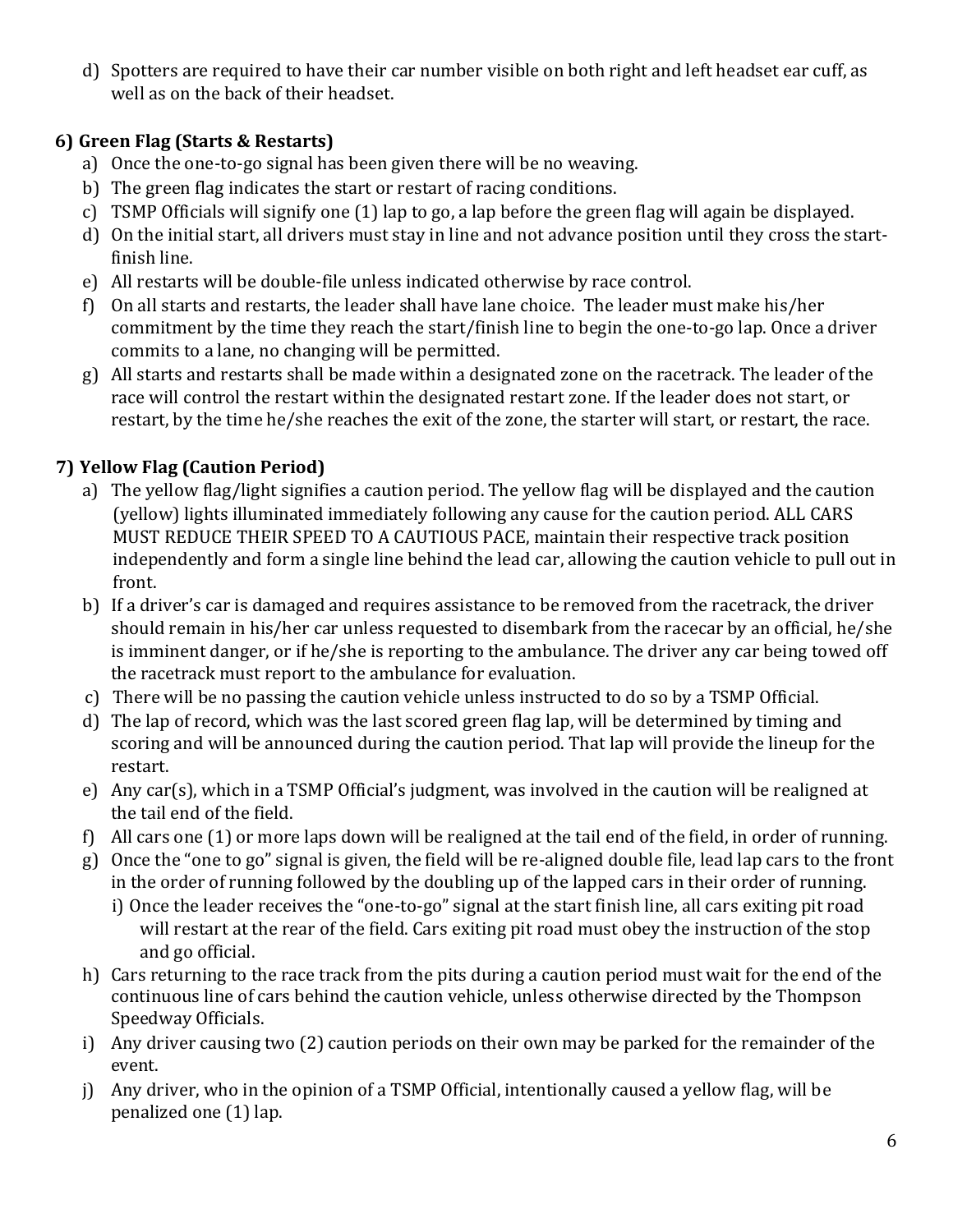d) Spotters are required to have their car number visible on both right and left headset ear cuff, as well as on the back of their headset.

### **6) Green Flag (Starts & Restarts)**

- a) Once the one-to-go signal has been given there will be no weaving.
- b) The green flag indicates the start or restart of racing conditions.
- c) TSMP Officials will signify one (1) lap to go, a lap before the green flag will again be displayed.
- d) On the initial start, all drivers must stay in line and not advance position until they cross the startfinish line.
- e) All restarts will be double-file unless indicated otherwise by race control.
- f) On all starts and restarts, the leader shall have lane choice. The leader must make his/her commitment by the time they reach the start/finish line to begin the one-to-go lap. Once a driver commits to a lane, no changing will be permitted.
- g) All starts and restarts shall be made within a designated zone on the racetrack. The leader of the race will control the restart within the designated restart zone. If the leader does not start, or restart, by the time he/she reaches the exit of the zone, the starter will start, or restart, the race.

# **7) Yellow Flag (Caution Period)**

- a) The yellow flag/light signifies a caution period. The yellow flag will be displayed and the caution (yellow) lights illuminated immediately following any cause for the caution period. ALL CARS MUST REDUCE THEIR SPEED TO A CAUTIOUS PACE, maintain their respective track position independently and form a single line behind the lead car, allowing the caution vehicle to pull out in front.
- b) If a driver's car is damaged and requires assistance to be removed from the racetrack, the driver should remain in his/her car unless requested to disembark from the racecar by an official, he/she is imminent danger, or if he/she is reporting to the ambulance. The driver any car being towed off the racetrack must report to the ambulance for evaluation.
- c) There will be no passing the caution vehicle unless instructed to do so by a TSMP Official.
- d) The lap of record, which was the last scored green flag lap, will be determined by timing and scoring and will be announced during the caution period. That lap will provide the lineup for the restart.
- e) Any car(s), which in a TSMP Official's judgment, was involved in the caution will be realigned at the tail end of the field.
- f) All cars one (1) or more laps down will be realigned at the tail end of the field, in order of running.
- g) Once the "one to go" signal is given, the field will be re-aligned double file, lead lap cars to the front in the order of running followed by the doubling up of the lapped cars in their order of running.
	- i) Once the leader receives the "one-to-go" signal at the start finish line, all cars exiting pit road will restart at the rear of the field. Cars exiting pit road must obey the instruction of the stop and go official.
- h) Cars returning to the race track from the pits during a caution period must wait for the end of the continuous line of cars behind the caution vehicle, unless otherwise directed by the Thompson Speedway Officials.
- i) Any driver causing two (2) caution periods on their own may be parked for the remainder of the event.
- j) Any driver, who in the opinion of a TSMP Official, intentionally caused a yellow flag, will be penalized one (1) lap.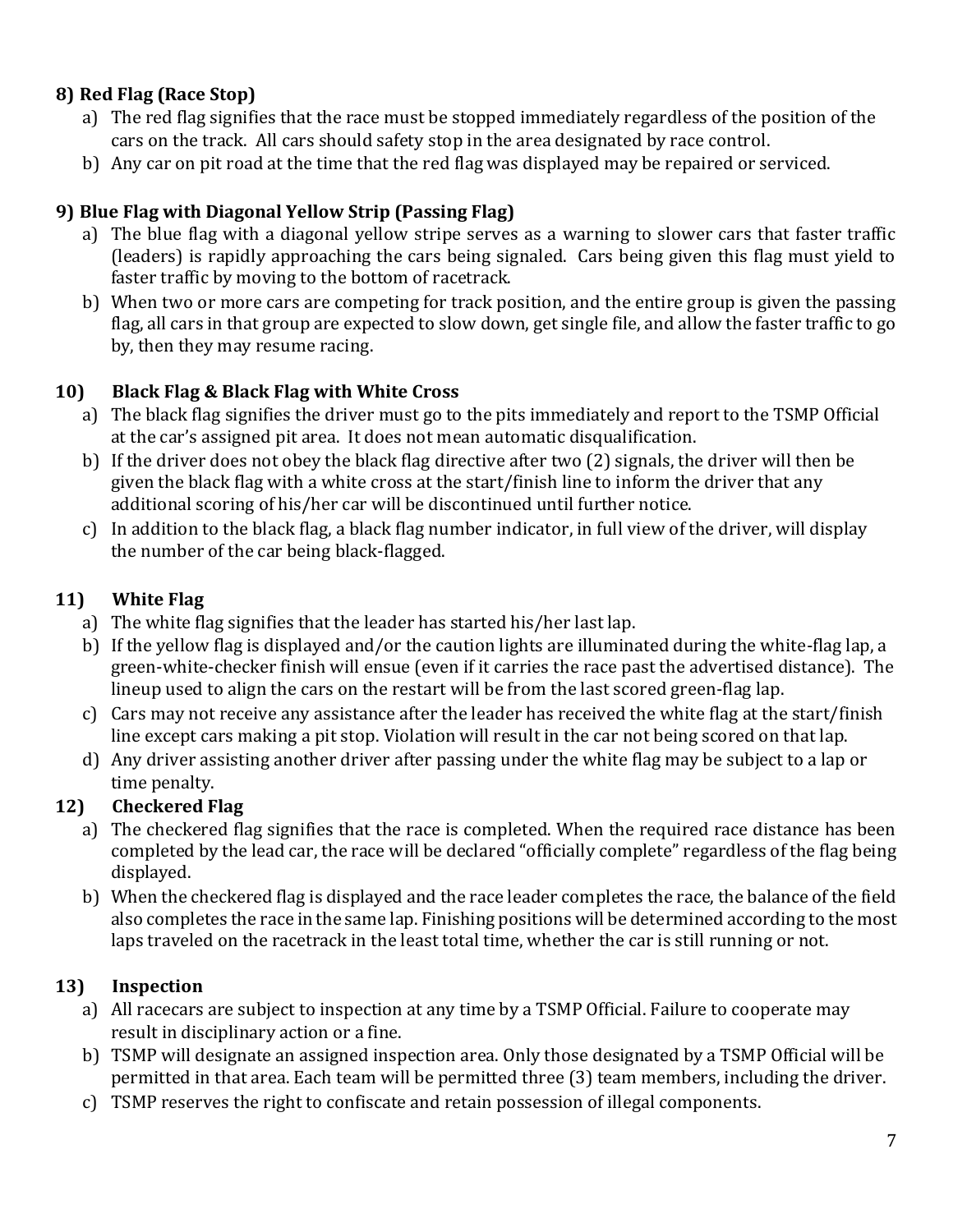## **8) Red Flag (Race Stop)**

- a) The red flag signifies that the race must be stopped immediately regardless of the position of the cars on the track. All cars should safety stop in the area designated by race control.
- b) Any car on pit road at the time that the red flag was displayed may be repaired or serviced.

### **9) Blue Flag with Diagonal Yellow Strip (Passing Flag)**

- a) The blue flag with a diagonal yellow stripe serves as a warning to slower cars that faster traffic (leaders) is rapidly approaching the cars being signaled. Cars being given this flag must yield to faster traffic by moving to the bottom of racetrack.
- b) When two or more cars are competing for track position, and the entire group is given the passing flag, all cars in that group are expected to slow down, get single file, and allow the faster traffic to go by, then they may resume racing.

### **10) Black Flag & Black Flag with White Cross**

- a) The black flag signifies the driver must go to the pits immediately and report to the TSMP Official at the car's assigned pit area. It does not mean automatic disqualification.
- b) If the driver does not obey the black flag directive after two (2) signals, the driver will then be given the black flag with a white cross at the start/finish line to inform the driver that any additional scoring of his/her car will be discontinued until further notice.
- c) In addition to the black flag, a black flag number indicator, in full view of the driver, will display the number of the car being black-flagged.

### **11) White Flag**

- a) The white flag signifies that the leader has started his/her last lap.
- b) If the yellow flag is displayed and/or the caution lights are illuminated during the white-flag lap, a green-white-checker finish will ensue (even if it carries the race past the advertised distance). The lineup used to align the cars on the restart will be from the last scored green-flag lap.
- c) Cars may not receive any assistance after the leader has received the white flag at the start/finish line except cars making a pit stop. Violation will result in the car not being scored on that lap.
- d) Any driver assisting another driver after passing under the white flag may be subject to a lap or time penalty.

## **12) Checkered Flag**

- a) The checkered flag signifies that the race is completed. When the required race distance has been completed by the lead car, the race will be declared "officially complete" regardless of the flag being displayed.
- b) When the checkered flag is displayed and the race leader completes the race, the balance of the field also completes the race in the same lap. Finishing positions will be determined according to the most laps traveled on the racetrack in the least total time, whether the car is still running or not.

## **13) Inspection**

- a) All racecars are subject to inspection at any time by a TSMP Official. Failure to cooperate may result in disciplinary action or a fine.
- b) TSMP will designate an assigned inspection area. Only those designated by a TSMP Official will be permitted in that area. Each team will be permitted three (3) team members, including the driver.
- c) TSMP reserves the right to confiscate and retain possession of illegal components.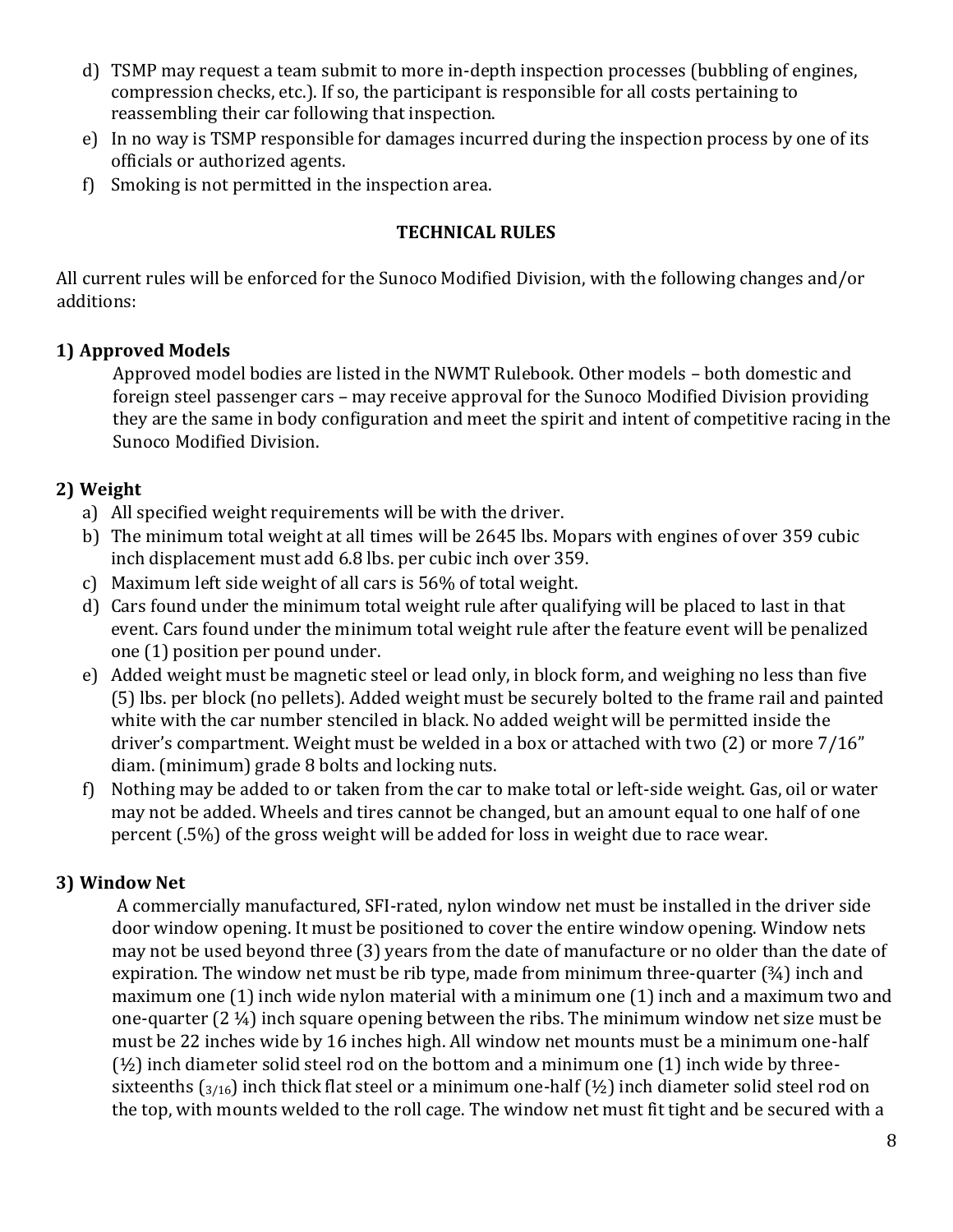- d) TSMP may request a team submit to more in-depth inspection processes (bubbling of engines, compression checks, etc.). If so, the participant is responsible for all costs pertaining to reassembling their car following that inspection.
- e) In no way is TSMP responsible for damages incurred during the inspection process by one of its officials or authorized agents.
- f) Smoking is not permitted in the inspection area.

#### **TECHNICAL RULES**

All current rules will be enforced for the Sunoco Modified Division, with the following changes and/or additions:

### **1) Approved Models**

Approved model bodies are listed in the NWMT Rulebook. Other models – both domestic and foreign steel passenger cars – may receive approval for the Sunoco Modified Division providing they are the same in body configuration and meet the spirit and intent of competitive racing in the Sunoco Modified Division.

### **2) Weight**

- a) All specified weight requirements will be with the driver.
- b) The minimum total weight at all times will be 2645 lbs. Mopars with engines of over 359 cubic inch displacement must add 6.8 lbs. per cubic inch over 359.
- c) Maximum left side weight of all cars is 56% of total weight.
- d) Cars found under the minimum total weight rule after qualifying will be placed to last in that event. Cars found under the minimum total weight rule after the feature event will be penalized one (1) position per pound under.
- e) Added weight must be magnetic steel or lead only, in block form, and weighing no less than five (5) lbs. per block (no pellets). Added weight must be securely bolted to the frame rail and painted white with the car number stenciled in black. No added weight will be permitted inside the driver's compartment. Weight must be welded in a box or attached with two (2) or more 7/16" diam. (minimum) grade 8 bolts and locking nuts.
- f) Nothing may be added to or taken from the car to make total or left-side weight. Gas, oil or water may not be added. Wheels and tires cannot be changed, but an amount equal to one half of one percent (.5%) of the gross weight will be added for loss in weight due to race wear.

### **3) Window Net**

A commercially manufactured, SFI-rated, nylon window net must be installed in the driver side door window opening. It must be positioned to cover the entire window opening. Window nets may not be used beyond three (3) years from the date of manufacture or no older than the date of expiration. The window net must be rib type, made from minimum three-quarter (34) inch and maximum one (1) inch wide nylon material with a minimum one (1) inch and a maximum two and one-quarter (2 ¼) inch square opening between the ribs. The minimum window net size must be must be 22 inches wide by 16 inches high. All window net mounts must be a minimum one-half  $(½)$  inch diameter solid steel rod on the bottom and a minimum one  $(1)$  inch wide by threesixteenths ( $3/16$ ) inch thick flat steel or a minimum one-half ( $\frac{1}{2}$ ) inch diameter solid steel rod on the top, with mounts welded to the roll cage. The window net must fit tight and be secured with a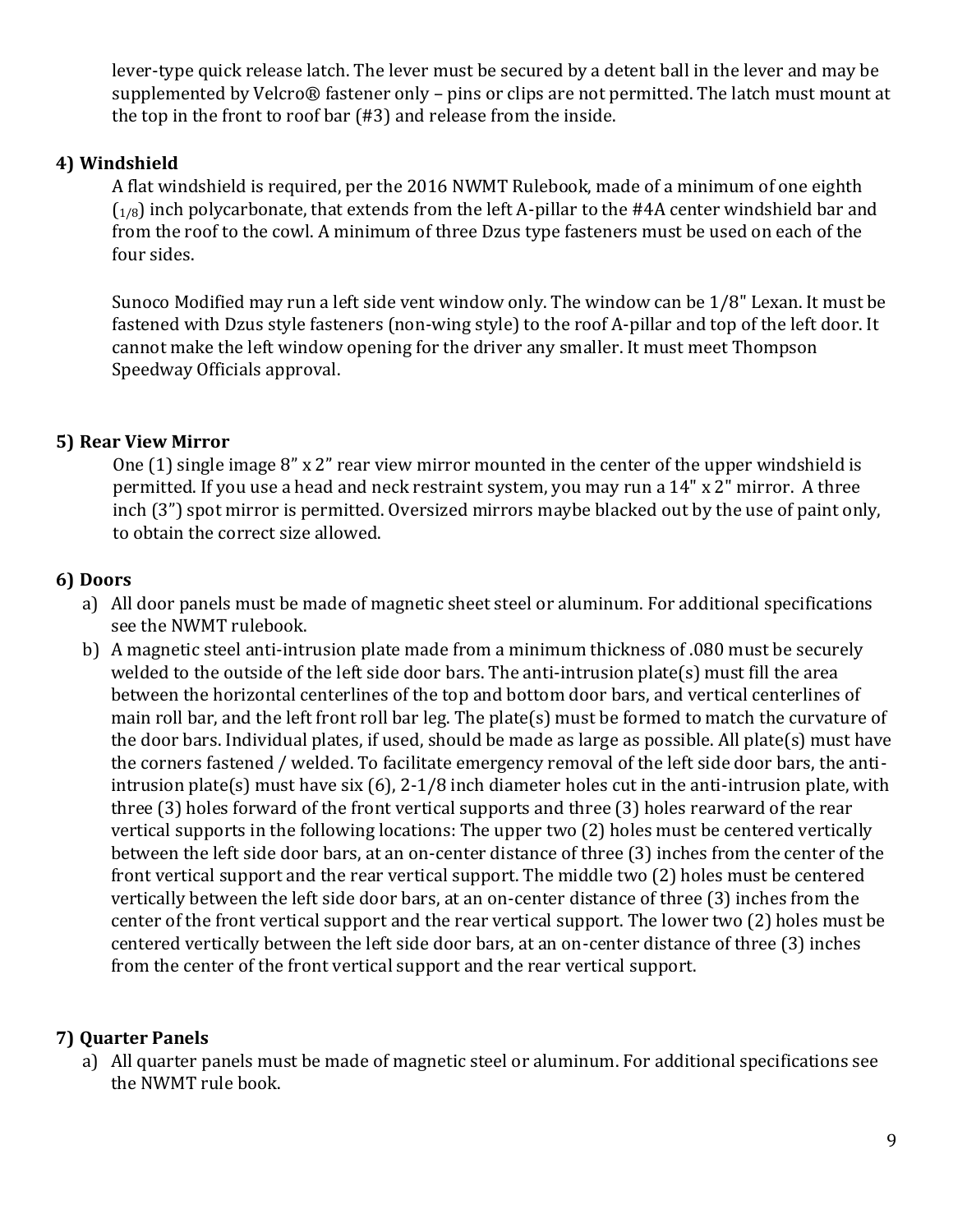lever-type quick release latch. The lever must be secured by a detent ball in the lever and may be supplemented by Velcro® fastener only – pins or clips are not permitted. The latch must mount at the top in the front to roof bar (#3) and release from the inside.

#### **4) Windshield**

A flat windshield is required, per the 2016 NWMT Rulebook, made of a minimum of one eighth  $(1/8)$  inch polycarbonate, that extends from the left A-pillar to the #4A center windshield bar and from the roof to the cowl. A minimum of three Dzus type fasteners must be used on each of the four sides.

Sunoco Modified may run a left side vent window only. The window can be 1/8" Lexan. It must be fastened with Dzus style fasteners (non-wing style) to the roof A-pillar and top of the left door. It cannot make the left window opening for the driver any smaller. It must meet Thompson Speedway Officials approval.

#### **5) Rear View Mirror**

One (1) single image 8" x 2" rear view mirror mounted in the center of the upper windshield is permitted. If you use a head and neck restraint system, you may run a 14" x 2" mirror. A three inch (3") spot mirror is permitted. Oversized mirrors maybe blacked out by the use of paint only, to obtain the correct size allowed.

#### **6) Doors**

- a) All door panels must be made of magnetic sheet steel or aluminum. For additional specifications see the NWMT rulebook.
- b) A magnetic steel anti-intrusion plate made from a minimum thickness of .080 must be securely welded to the outside of the left side door bars. The anti-intrusion plate(s) must fill the area between the horizontal centerlines of the top and bottom door bars, and vertical centerlines of main roll bar, and the left front roll bar leg. The plate(s) must be formed to match the curvature of the door bars. Individual plates, if used, should be made as large as possible. All plate(s) must have the corners fastened / welded. To facilitate emergency removal of the left side door bars, the antiintrusion plate(s) must have six (6), 2-1/8 inch diameter holes cut in the anti-intrusion plate, with three (3) holes forward of the front vertical supports and three (3) holes rearward of the rear vertical supports in the following locations: The upper two (2) holes must be centered vertically between the left side door bars, at an on-center distance of three (3) inches from the center of the front vertical support and the rear vertical support. The middle two (2) holes must be centered vertically between the left side door bars, at an on-center distance of three (3) inches from the center of the front vertical support and the rear vertical support. The lower two (2) holes must be centered vertically between the left side door bars, at an on-center distance of three (3) inches from the center of the front vertical support and the rear vertical support.

#### **7) Quarter Panels**

a) All quarter panels must be made of magnetic steel or aluminum. For additional specifications see the NWMT rule book.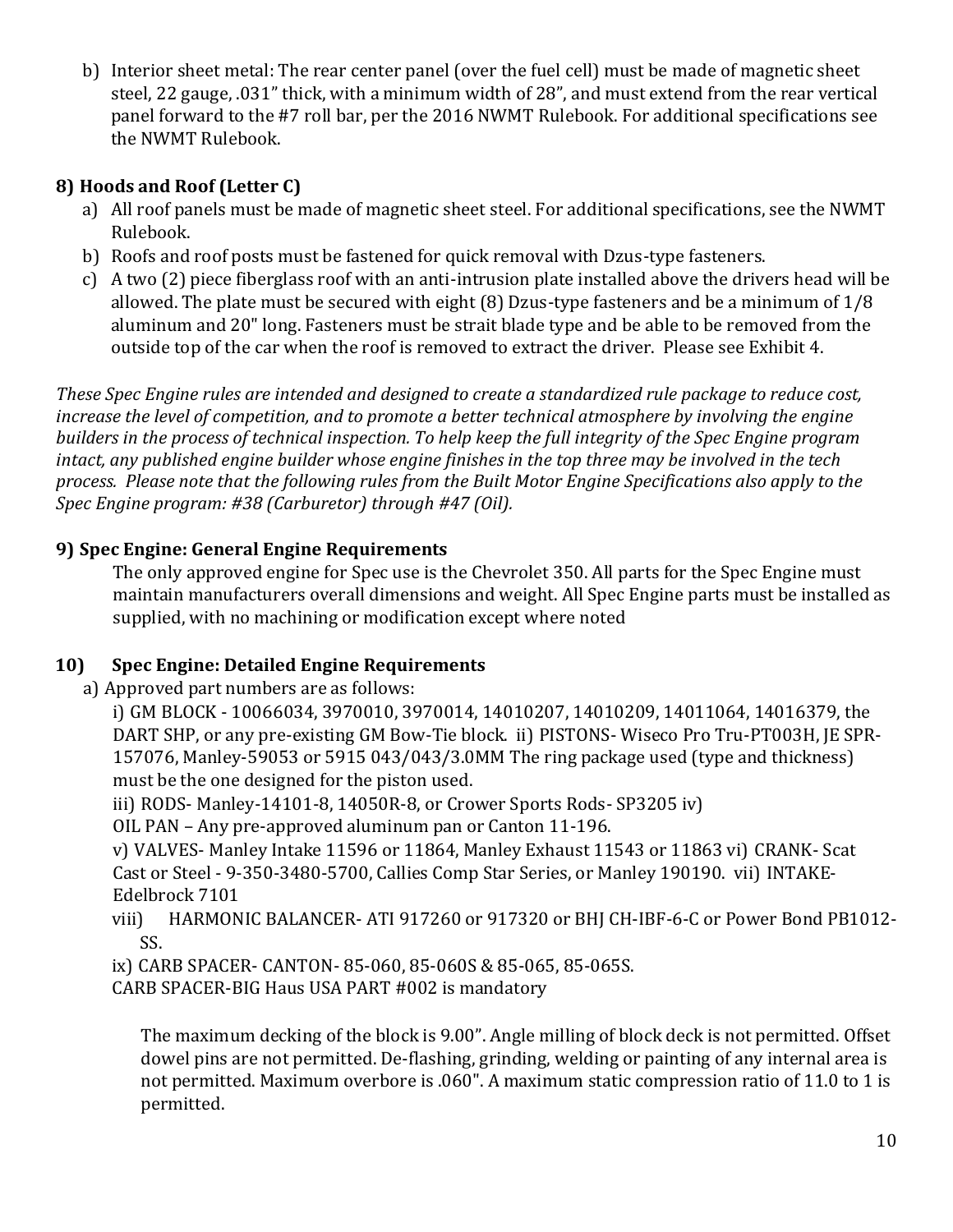b) Interior sheet metal: The rear center panel (over the fuel cell) must be made of magnetic sheet steel, 22 gauge, .031" thick, with a minimum width of 28", and must extend from the rear vertical panel forward to the #7 roll bar, per the 2016 NWMT Rulebook. For additional specifications see the NWMT Rulebook.

### **8) Hoods and Roof (Letter C)**

- a) All roof panels must be made of magnetic sheet steel. For additional specifications, see the NWMT Rulebook.
- b) Roofs and roof posts must be fastened for quick removal with Dzus-type fasteners.
- c) A two (2) piece fiberglass roof with an anti-intrusion plate installed above the drivers head will be allowed. The plate must be secured with eight (8) Dzus-type fasteners and be a minimum of 1/8 aluminum and 20" long. Fasteners must be strait blade type and be able to be removed from the outside top of the car when the roof is removed to extract the driver. Please see Exhibit 4.

*These Spec Engine rules are intended and designed to create a standardized rule package to reduce cost, increase the level of competition, and to promote a better technical atmosphere by involving the engine builders in the process of technical inspection. To help keep the full integrity of the Spec Engine program intact, any published engine builder whose engine finishes in the top three may be involved in the tech process. Please note that the following rules from the Built Motor Engine Specifications also apply to the Spec Engine program: #38 (Carburetor) through #47 (Oil).*

### **9) Spec Engine: General Engine Requirements**

The only approved engine for Spec use is the Chevrolet 350. All parts for the Spec Engine must maintain manufacturers overall dimensions and weight. All Spec Engine parts must be installed as supplied, with no machining or modification except where noted

### **10) Spec Engine: Detailed Engine Requirements**

a) Approved part numbers are as follows:

i) GM BLOCK - 10066034, 3970010, 3970014, 14010207, 14010209, 14011064, 14016379, the DART SHP, or any pre-existing GM Bow-Tie block. ii) PISTONS- Wiseco Pro Tru-PT003H, JE SPR-157076, Manley-59053 or 5915 043/043/3.0MM The ring package used (type and thickness) must be the one designed for the piston used.

iii) RODS- Manley-14101-8, 14050R-8, or Crower Sports Rods- SP3205 iv)

OIL PAN – Any pre-approved aluminum pan or Canton 11-196.

v) VALVES- Manley Intake 11596 or 11864, Manley Exhaust 11543 or 11863 vi) CRANK- Scat Cast or Steel - 9-350-3480-5700, Callies Comp Star Series, or Manley 190190. vii) INTAKE-Edelbrock 7101

viii) HARMONIC BALANCER- ATI 917260 or 917320 or BHJ CH-IBF-6-C or Power Bond PB1012- SS.

ix) CARB SPACER- CANTON- 85-060, 85-060S & 85-065, 85-065S.

CARB SPACER-BIG Haus USA PART #002 is mandatory

The maximum decking of the block is 9.00". Angle milling of block deck is not permitted. Offset dowel pins are not permitted. De-flashing, grinding, welding or painting of any internal area is not permitted. Maximum overbore is .060". A maximum static compression ratio of 11.0 to 1 is permitted.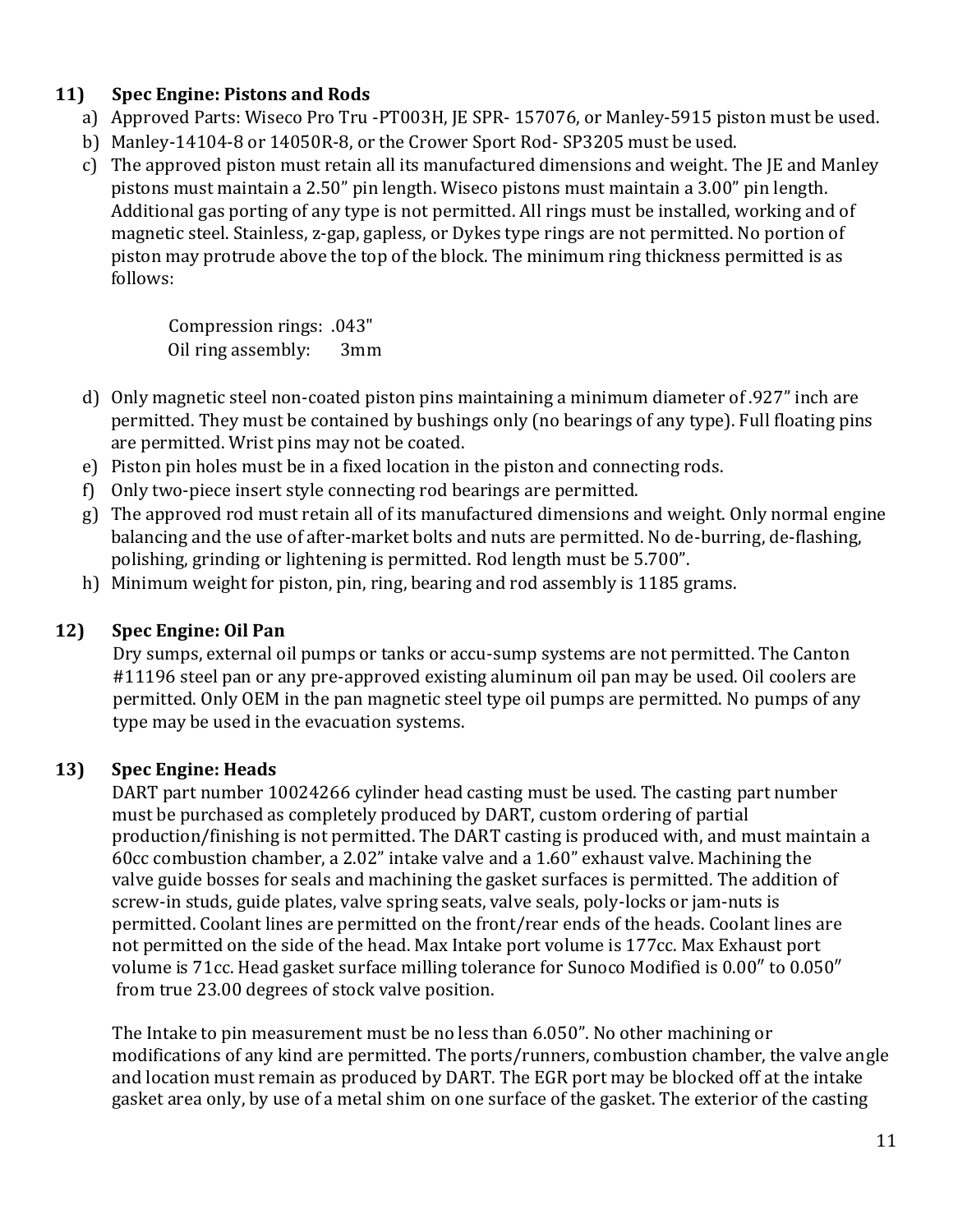### **11) Spec Engine: Pistons and Rods**

- a) Approved Parts: Wiseco Pro Tru -PT003H, JE SPR- 157076, or Manley-5915 piston must be used.
- b) Manley-14104-8 or 14050R-8, or the Crower Sport Rod- SP3205 must be used.
- c) The approved piston must retain all its manufactured dimensions and weight. The JE and Manley pistons must maintain a 2.50" pin length. Wiseco pistons must maintain a 3.00" pin length. Additional gas porting of any type is not permitted. All rings must be installed, working and of magnetic steel. Stainless, z-gap, gapless, or Dykes type rings are not permitted. No portion of piston may protrude above the top of the block. The minimum ring thickness permitted is as follows:

Compression rings: .043" Oil ring assembly: 3mm

- d) Only magnetic steel non-coated piston pins maintaining a minimum diameter of .927" inch are permitted. They must be contained by bushings only (no bearings of any type). Full floating pins are permitted. Wrist pins may not be coated.
- e) Piston pin holes must be in a fixed location in the piston and connecting rods.
- f) Only two-piece insert style connecting rod bearings are permitted.
- g) The approved rod must retain all of its manufactured dimensions and weight. Only normal engine balancing and the use of after-market bolts and nuts are permitted. No de-burring, de-flashing, polishing, grinding or lightening is permitted. Rod length must be 5.700".
- h) Minimum weight for piston, pin, ring, bearing and rod assembly is 1185 grams.

#### **12) Spec Engine: Oil Pan**

Dry sumps, external oil pumps or tanks or accu-sump systems are not permitted. The Canton #11196 steel pan or any pre-approved existing aluminum oil pan may be used. Oil coolers are permitted. Only OEM in the pan magnetic steel type oil pumps are permitted. No pumps of any type may be used in the evacuation systems.

### **13) Spec Engine: Heads**

DART part number 10024266 cylinder head casting must be used. The casting part number must be purchased as completely produced by DART, custom ordering of partial production/finishing is not permitted. The DART casting is produced with, and must maintain a 60cc combustion chamber, a 2.02" intake valve and a 1.60" exhaust valve. Machining the valve guide bosses for seals and machining the gasket surfaces is permitted. The addition of screw-in studs, guide plates, valve spring seats, valve seals, poly-locks or jam-nuts is permitted. Coolant lines are permitted on the front/rear ends of the heads. Coolant lines are not permitted on the side of the head. Max Intake port volume is 177cc. Max Exhaust port volume is 71cc. Head gasket surface milling tolerance for Sunoco Modified is 0.00″ to 0.050″ from true 23.00 degrees of stock valve position.

The Intake to pin measurement must be no less than 6.050". No other machining or modifications of any kind are permitted. The ports/runners, combustion chamber, the valve angle and location must remain as produced by DART. The EGR port may be blocked off at the intake gasket area only, by use of a metal shim on one surface of the gasket. The exterior of the casting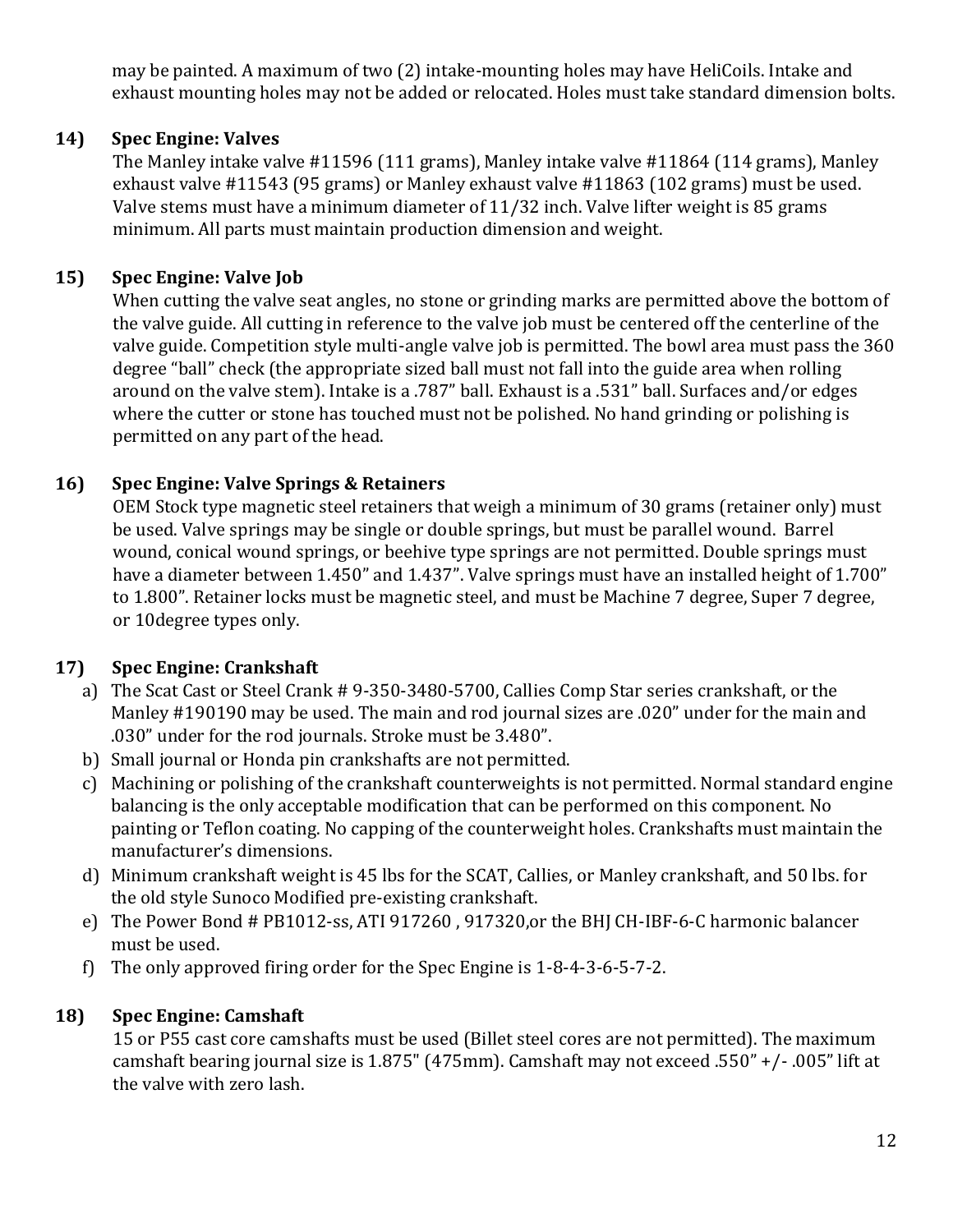may be painted. A maximum of two (2) intake-mounting holes may have HeliCoils. Intake and exhaust mounting holes may not be added or relocated. Holes must take standard dimension bolts.

#### **14) Spec Engine: Valves**

The Manley intake valve #11596 (111 grams), Manley intake valve #11864 (114 grams), Manley exhaust valve #11543 (95 grams) or Manley exhaust valve #11863 (102 grams) must be used. Valve stems must have a minimum diameter of 11/32 inch. Valve lifter weight is 85 grams minimum. All parts must maintain production dimension and weight.

#### **15) Spec Engine: Valve Job**

When cutting the valve seat angles, no stone or grinding marks are permitted above the bottom of the valve guide. All cutting in reference to the valve job must be centered off the centerline of the valve guide. Competition style multi-angle valve job is permitted. The bowl area must pass the 360 degree "ball" check (the appropriate sized ball must not fall into the guide area when rolling around on the valve stem). Intake is a .787" ball. Exhaust is a .531" ball. Surfaces and/or edges where the cutter or stone has touched must not be polished. No hand grinding or polishing is permitted on any part of the head.

#### **16) Spec Engine: Valve Springs & Retainers**

OEM Stock type magnetic steel retainers that weigh a minimum of 30 grams (retainer only) must be used. Valve springs may be single or double springs, but must be parallel wound. Barrel wound, conical wound springs, or beehive type springs are not permitted. Double springs must have a diameter between 1.450" and 1.437". Valve springs must have an installed height of 1.700" to 1.800". Retainer locks must be magnetic steel, and must be Machine 7 degree, Super 7 degree, or 10degree types only.

#### **17) Spec Engine: Crankshaft**

- a) The Scat Cast or Steel Crank # 9-350-3480-5700, Callies Comp Star series crankshaft, or the Manley #190190 may be used. The main and rod journal sizes are .020" under for the main and .030" under for the rod journals. Stroke must be 3.480".
- b) Small journal or Honda pin crankshafts are not permitted.
- c) Machining or polishing of the crankshaft counterweights is not permitted. Normal standard engine balancing is the only acceptable modification that can be performed on this component. No painting or Teflon coating. No capping of the counterweight holes. Crankshafts must maintain the manufacturer's dimensions.
- d) Minimum crankshaft weight is 45 lbs for the SCAT, Callies, or Manley crankshaft, and 50 lbs. for the old style Sunoco Modified pre-existing crankshaft.
- e) The Power Bond # PB1012-ss, ATI 917260 , 917320,or the BHJ CH-IBF-6-C harmonic balancer must be used.
- f) The only approved firing order for the Spec Engine is 1-8-4-3-6-5-7-2.

#### **18) Spec Engine: Camshaft**

15 or P55 cast core camshafts must be used (Billet steel cores are not permitted). The maximum camshaft bearing journal size is 1.875" (475mm). Camshaft may not exceed .550" +/- .005" lift at the valve with zero lash.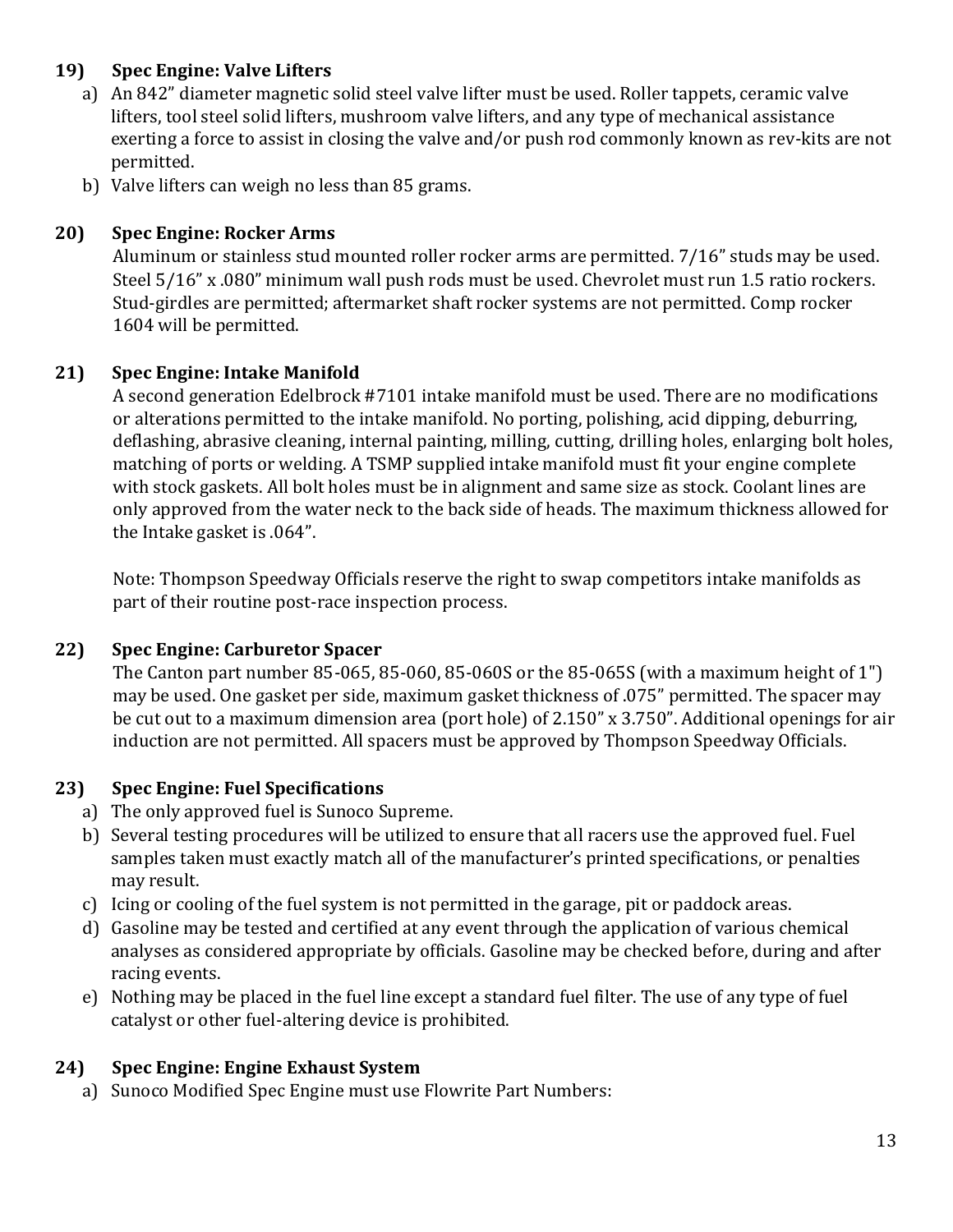### **19) Spec Engine: Valve Lifters**

- a) An 842" diameter magnetic solid steel valve lifter must be used. Roller tappets, ceramic valve lifters, tool steel solid lifters, mushroom valve lifters, and any type of mechanical assistance exerting a force to assist in closing the valve and/or push rod commonly known as rev-kits are not permitted.
- b) Valve lifters can weigh no less than 85 grams.

#### **20) Spec Engine: Rocker Arms**

Aluminum or stainless stud mounted roller rocker arms are permitted. 7/16" studs may be used. Steel 5/16" x .080" minimum wall push rods must be used. Chevrolet must run 1.5 ratio rockers. Stud-girdles are permitted; aftermarket shaft rocker systems are not permitted. Comp rocker 1604 will be permitted.

#### **21) Spec Engine: Intake Manifold**

A second generation Edelbrock #7101 intake manifold must be used. There are no modifications or alterations permitted to the intake manifold. No porting, polishing, acid dipping, deburring, deflashing, abrasive cleaning, internal painting, milling, cutting, drilling holes, enlarging bolt holes, matching of ports or welding. A TSMP supplied intake manifold must fit your engine complete with stock gaskets. All bolt holes must be in alignment and same size as stock. Coolant lines are only approved from the water neck to the back side of heads. The maximum thickness allowed for the Intake gasket is .064".

Note: Thompson Speedway Officials reserve the right to swap competitors intake manifolds as part of their routine post-race inspection process.

#### **22) Spec Engine: Carburetor Spacer**

The Canton part number 85-065, 85-060, 85-060S or the 85-065S (with a maximum height of 1") may be used. One gasket per side, maximum gasket thickness of .075" permitted. The spacer may be cut out to a maximum dimension area (port hole) of 2.150" x 3.750". Additional openings for air induction are not permitted. All spacers must be approved by Thompson Speedway Officials.

### **23) Spec Engine: Fuel Specifications**

- a) The only approved fuel is Sunoco Supreme.
- b) Several testing procedures will be utilized to ensure that all racers use the approved fuel. Fuel samples taken must exactly match all of the manufacturer's printed specifications, or penalties may result.
- c) Icing or cooling of the fuel system is not permitted in the garage, pit or paddock areas.
- d) Gasoline may be tested and certified at any event through the application of various chemical analyses as considered appropriate by officials. Gasoline may be checked before, during and after racing events.
- e) Nothing may be placed in the fuel line except a standard fuel filter. The use of any type of fuel catalyst or other fuel-altering device is prohibited.

#### **24) Spec Engine: Engine Exhaust System**

a) Sunoco Modified Spec Engine must use Flowrite Part Numbers: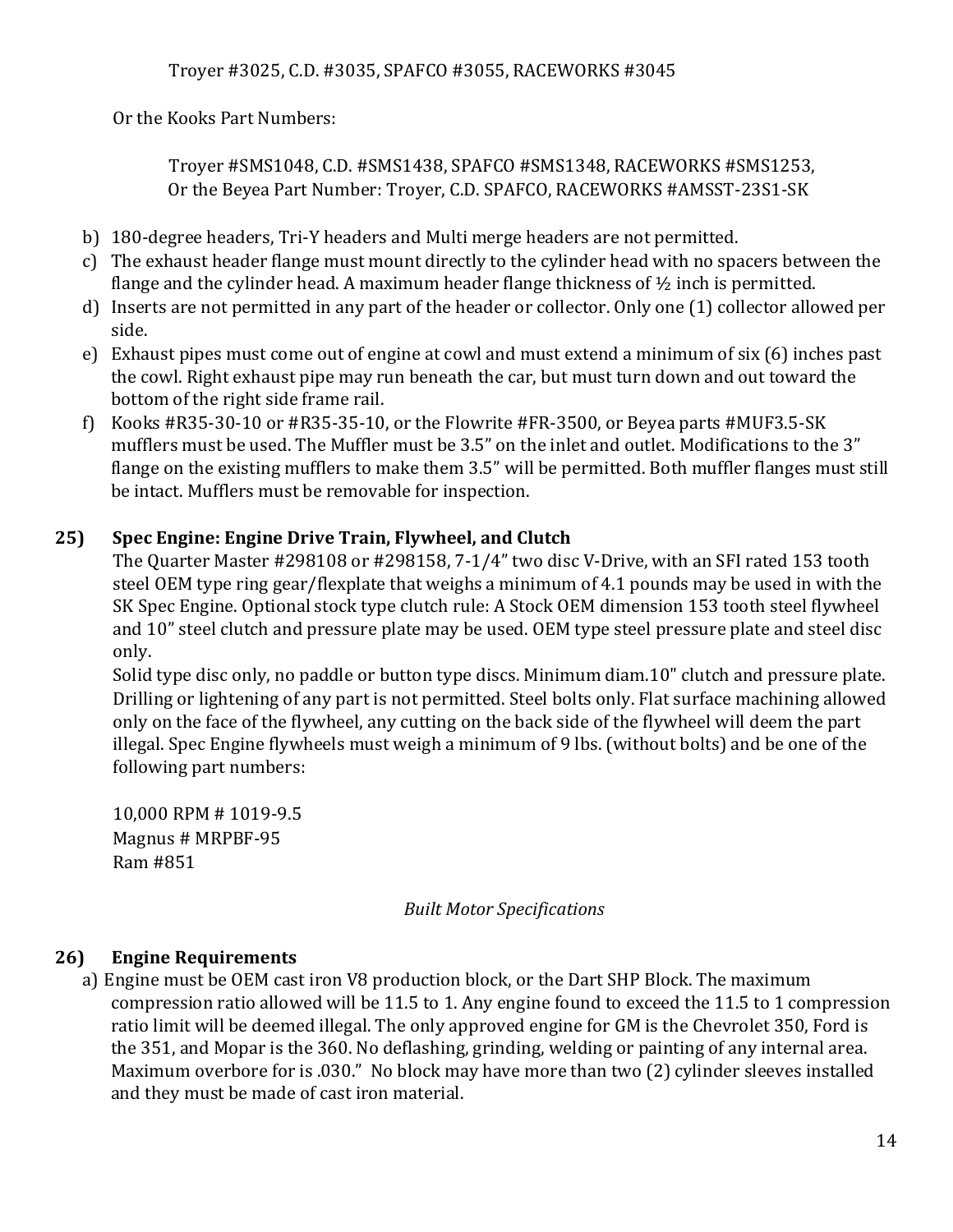Or the Kooks Part Numbers:

Troyer #SMS1048, C.D. #SMS1438, SPAFCO #SMS1348, RACEWORKS #SMS1253, Or the Beyea Part Number: Troyer, C.D. SPAFCO, RACEWORKS #AMSST-23S1-SK

- b) 180-degree headers, Tri-Y headers and Multi merge headers are not permitted.
- c) The exhaust header flange must mount directly to the cylinder head with no spacers between the flange and the cylinder head. A maximum header flange thickness of  $\frac{1}{2}$  inch is permitted.
- d) Inserts are not permitted in any part of the header or collector. Only one (1) collector allowed per side.
- e) Exhaust pipes must come out of engine at cowl and must extend a minimum of six (6) inches past the cowl. Right exhaust pipe may run beneath the car, but must turn down and out toward the bottom of the right side frame rail.
- f) Kooks #R35-30-10 or #R35-35-10, or the Flowrite #FR-3500, or Beyea parts #MUF3.5-SK mufflers must be used. The Muffler must be 3.5" on the inlet and outlet. Modifications to the 3" flange on the existing mufflers to make them 3.5" will be permitted. Both muffler flanges must still be intact. Mufflers must be removable for inspection.

#### **25) Spec Engine: Engine Drive Train, Flywheel, and Clutch**

The Quarter Master #298108 or #298158, 7-1/4" two disc V-Drive, with an SFI rated 153 tooth steel OEM type ring gear/flexplate that weighs a minimum of 4.1 pounds may be used in with the SK Spec Engine. Optional stock type clutch rule: A Stock OEM dimension 153 tooth steel flywheel and 10" steel clutch and pressure plate may be used. OEM type steel pressure plate and steel disc only.

Solid type disc only, no paddle or button type discs. Minimum diam.10" clutch and pressure plate. Drilling or lightening of any part is not permitted. Steel bolts only. Flat surface machining allowed only on the face of the flywheel, any cutting on the back side of the flywheel will deem the part illegal. Spec Engine flywheels must weigh a minimum of 9 lbs. (without bolts) and be one of the following part numbers:

10,000 RPM # 1019-9.5 Magnus # MRPBF-95 Ram #851

#### *Built Motor Specifications*

#### **26) Engine Requirements**

a) Engine must be OEM cast iron V8 production block, or the Dart SHP Block. The maximum compression ratio allowed will be 11.5 to 1. Any engine found to exceed the 11.5 to 1 compression ratio limit will be deemed illegal. The only approved engine for GM is the Chevrolet 350, Ford is the 351, and Mopar is the 360. No deflashing, grinding, welding or painting of any internal area. Maximum overbore for is .030." No block may have more than two (2) cylinder sleeves installed and they must be made of cast iron material.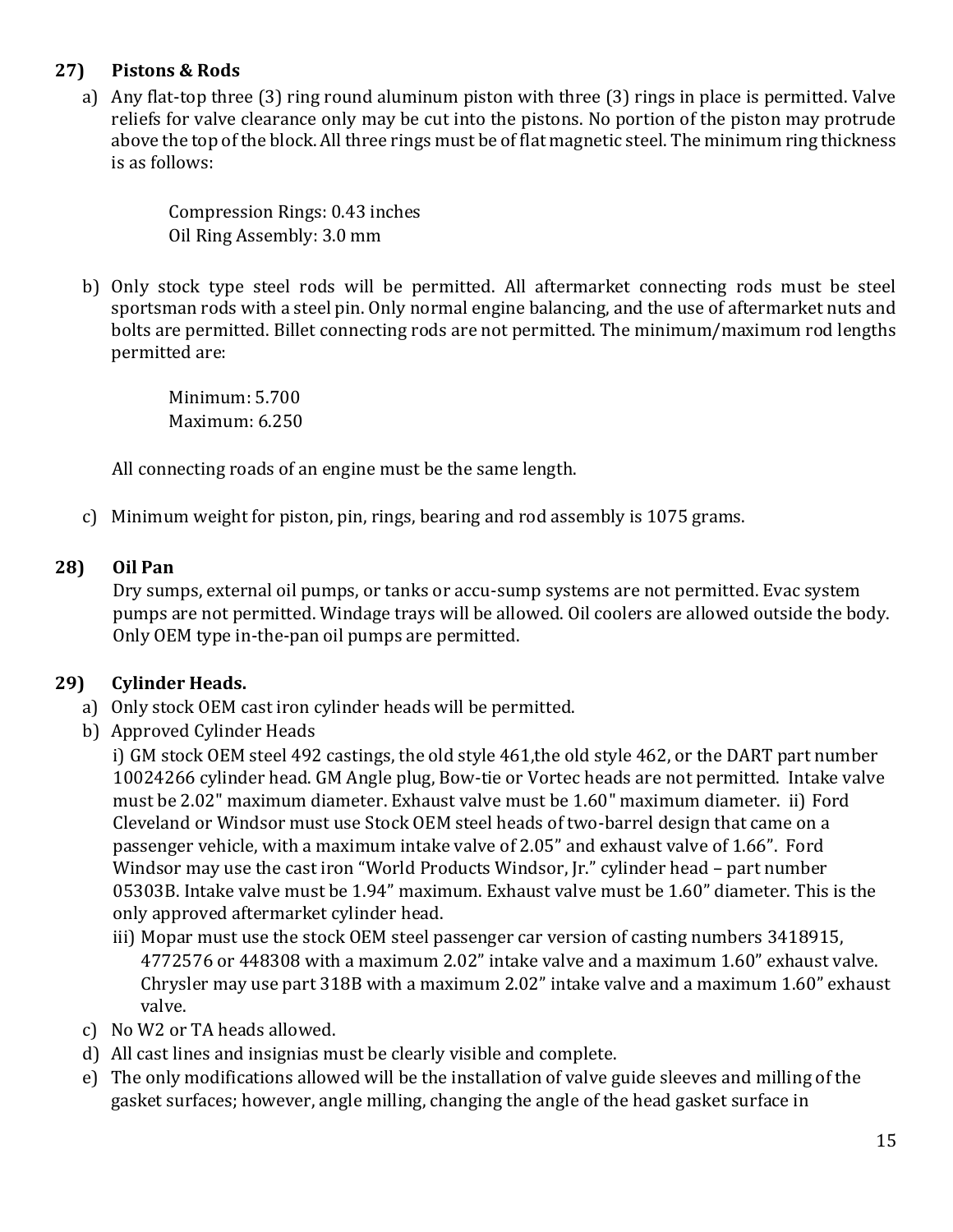### **27) Pistons & Rods**

a) Any flat-top three (3) ring round aluminum piston with three (3) rings in place is permitted. Valve reliefs for valve clearance only may be cut into the pistons. No portion of the piston may protrude above the top of the block. All three rings must be of flat magnetic steel. The minimum ring thickness is as follows:

> Compression Rings: 0.43 inches Oil Ring Assembly: 3.0 mm

b) Only stock type steel rods will be permitted. All aftermarket connecting rods must be steel sportsman rods with a steel pin. Only normal engine balancing, and the use of aftermarket nuts and bolts are permitted. Billet connecting rods are not permitted. The minimum/maximum rod lengths permitted are:

> Minimum: 5.700 Maximum: 6.250

All connecting roads of an engine must be the same length.

c) Minimum weight for piston, pin, rings, bearing and rod assembly is 1075 grams.

### **28) Oil Pan**

Dry sumps, external oil pumps, or tanks or accu-sump systems are not permitted. Evac system pumps are not permitted. Windage trays will be allowed. Oil coolers are allowed outside the body. Only OEM type in-the-pan oil pumps are permitted.

### **29) Cylinder Heads.**

- a) Only stock OEM cast iron cylinder heads will be permitted.
- b) Approved Cylinder Heads

i) GM stock OEM steel 492 castings, the old style 461,the old style 462, or the DART part number 10024266 cylinder head. GM Angle plug, Bow-tie or Vortec heads are not permitted. Intake valve must be 2.02" maximum diameter. Exhaust valve must be 1.60" maximum diameter. ii) Ford Cleveland or Windsor must use Stock OEM steel heads of two-barrel design that came on a passenger vehicle, with a maximum intake valve of 2.05" and exhaust valve of 1.66". Ford Windsor may use the cast iron "World Products Windsor, Jr." cylinder head – part number 05303B. Intake valve must be 1.94" maximum. Exhaust valve must be 1.60" diameter. This is the only approved aftermarket cylinder head.

- iii) Mopar must use the stock OEM steel passenger car version of casting numbers 3418915, 4772576 or 448308 with a maximum 2.02" intake valve and a maximum 1.60" exhaust valve. Chrysler may use part 318B with a maximum 2.02" intake valve and a maximum 1.60" exhaust valve.
- c) No W2 or TA heads allowed.
- d) All cast lines and insignias must be clearly visible and complete.
- e) The only modifications allowed will be the installation of valve guide sleeves and milling of the gasket surfaces; however, angle milling, changing the angle of the head gasket surface in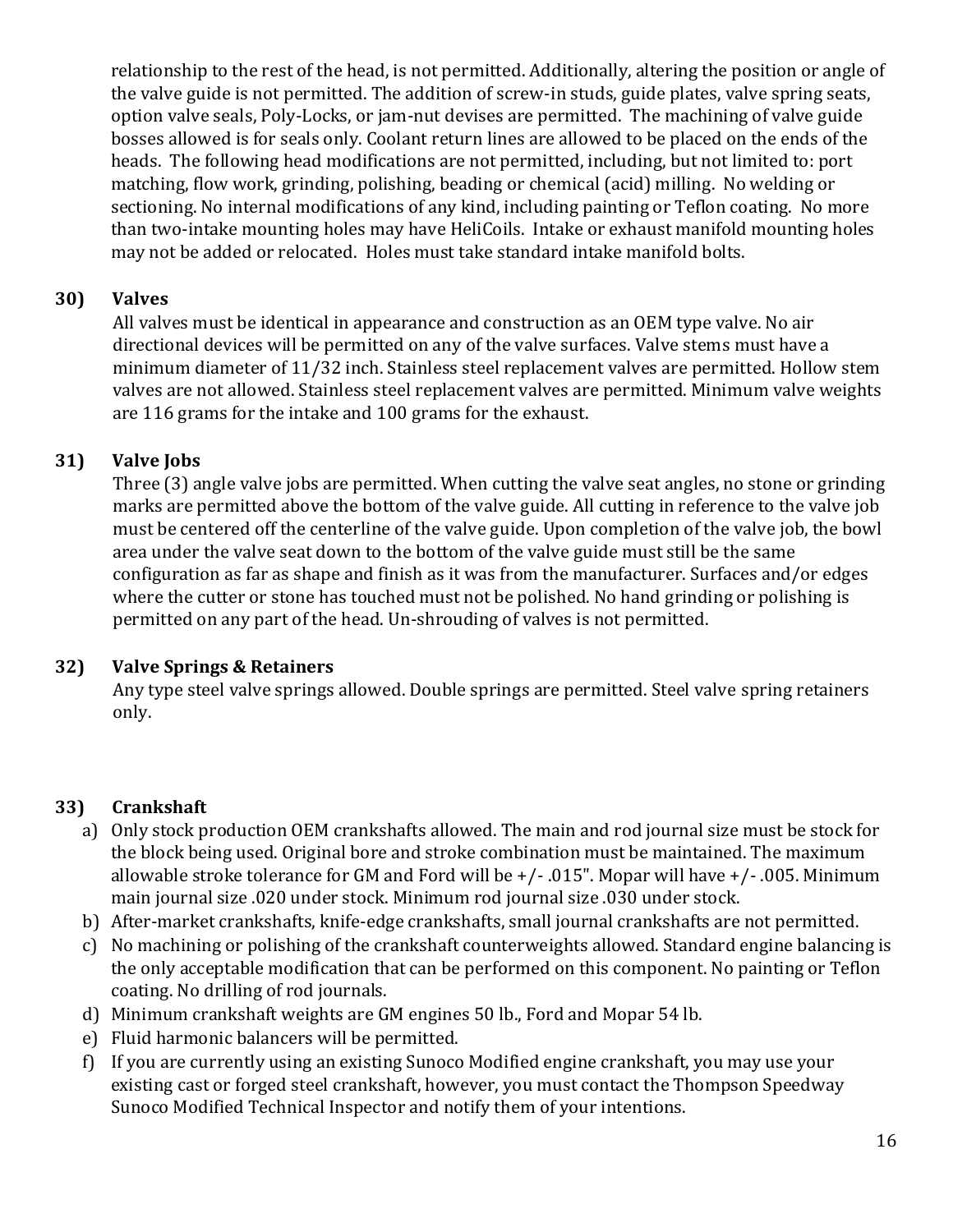relationship to the rest of the head, is not permitted. Additionally, altering the position or angle of the valve guide is not permitted. The addition of screw-in studs, guide plates, valve spring seats, option valve seals, Poly-Locks, or jam-nut devises are permitted. The machining of valve guide bosses allowed is for seals only. Coolant return lines are allowed to be placed on the ends of the heads. The following head modifications are not permitted, including, but not limited to: port matching, flow work, grinding, polishing, beading or chemical (acid) milling. No welding or sectioning. No internal modifications of any kind, including painting or Teflon coating. No more than two-intake mounting holes may have HeliCoils. Intake or exhaust manifold mounting holes may not be added or relocated. Holes must take standard intake manifold bolts.

#### **30) Valves**

All valves must be identical in appearance and construction as an OEM type valve. No air directional devices will be permitted on any of the valve surfaces. Valve stems must have a minimum diameter of 11/32 inch. Stainless steel replacement valves are permitted. Hollow stem valves are not allowed. Stainless steel replacement valves are permitted. Minimum valve weights are 116 grams for the intake and 100 grams for the exhaust.

### **31) Valve Jobs**

Three (3) angle valve jobs are permitted. When cutting the valve seat angles, no stone or grinding marks are permitted above the bottom of the valve guide. All cutting in reference to the valve job must be centered off the centerline of the valve guide. Upon completion of the valve job, the bowl area under the valve seat down to the bottom of the valve guide must still be the same configuration as far as shape and finish as it was from the manufacturer. Surfaces and/or edges where the cutter or stone has touched must not be polished. No hand grinding or polishing is permitted on any part of the head. Un-shrouding of valves is not permitted.

#### **32) Valve Springs & Retainers**

Any type steel valve springs allowed. Double springs are permitted. Steel valve spring retainers only.

### **33) Crankshaft**

- a) Only stock production OEM crankshafts allowed. The main and rod journal size must be stock for the block being used. Original bore and stroke combination must be maintained. The maximum allowable stroke tolerance for GM and Ford will be  $+/-$  .015". Mopar will have  $+/-$  .005. Minimum main journal size .020 under stock. Minimum rod journal size .030 under stock.
- b) After-market crankshafts, knife-edge crankshafts, small journal crankshafts are not permitted.
- c) No machining or polishing of the crankshaft counterweights allowed. Standard engine balancing is the only acceptable modification that can be performed on this component. No painting or Teflon coating. No drilling of rod journals.
- d) Minimum crankshaft weights are GM engines 50 lb., Ford and Mopar 54 lb.
- e) Fluid harmonic balancers will be permitted.
- f) If you are currently using an existing Sunoco Modified engine crankshaft, you may use your existing cast or forged steel crankshaft, however, you must contact the Thompson Speedway Sunoco Modified Technical Inspector and notify them of your intentions.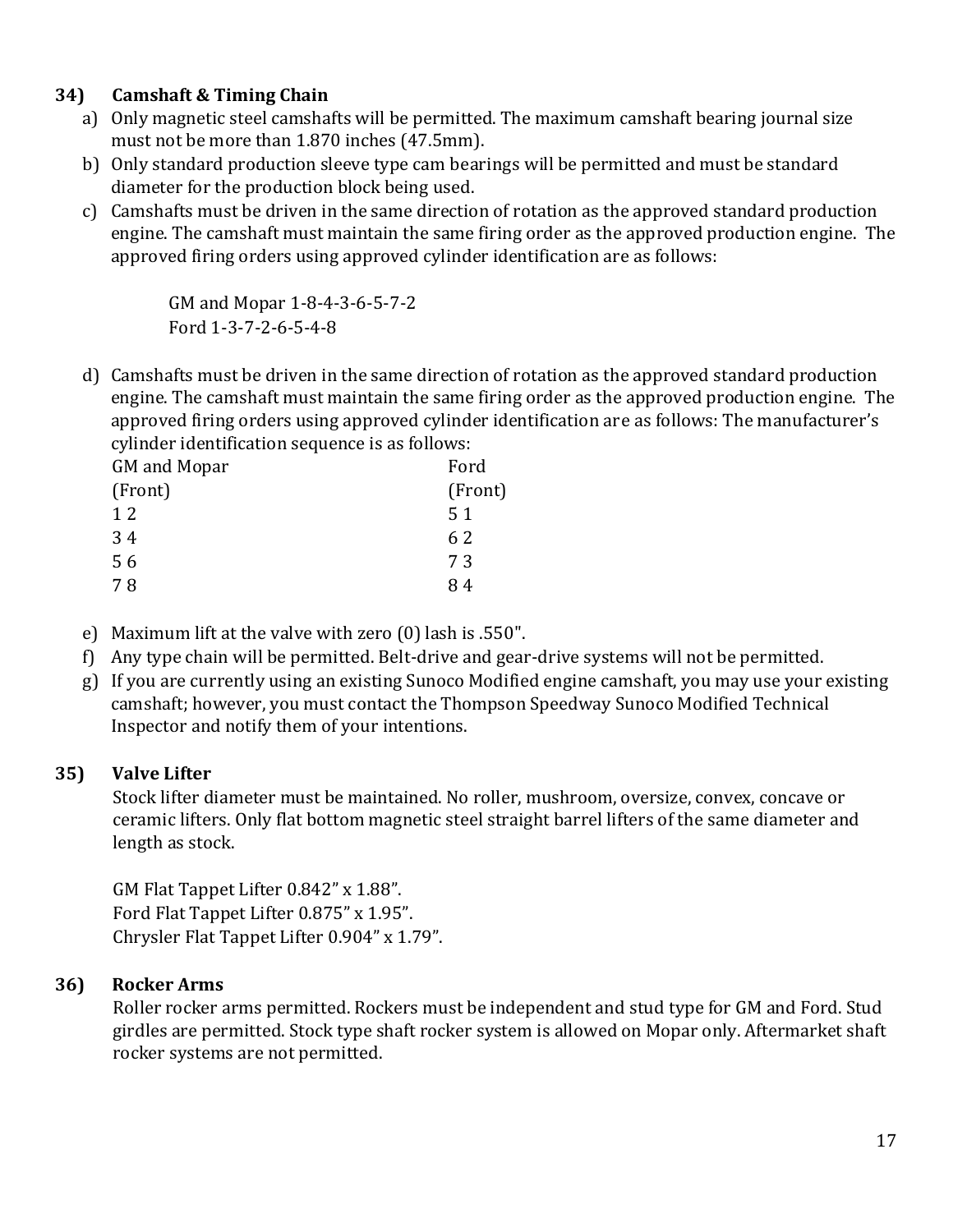### **34) Camshaft & Timing Chain**

- a) Only magnetic steel camshafts will be permitted. The maximum camshaft bearing journal size must not be more than 1.870 inches (47.5mm).
- b) Only standard production sleeve type cam bearings will be permitted and must be standard diameter for the production block being used.
- c) Camshafts must be driven in the same direction of rotation as the approved standard production engine. The camshaft must maintain the same firing order as the approved production engine. The approved firing orders using approved cylinder identification are as follows:

GM and Mopar 1-8-4-3-6-5-7-2 Ford 1-3-7-2-6-5-4-8

d) Camshafts must be driven in the same direction of rotation as the approved standard production engine. The camshaft must maintain the same firing order as the approved production engine. The approved firing orders using approved cylinder identification are as follows: The manufacturer's cylinder identification sequence is as follows:

| GM and Mopar | Ford    |
|--------------|---------|
| (Front)      | (Front) |
| 12           | 51      |
| 34           | 62      |
| 56           | 73      |
| 7 R          | 84      |

- e) Maximum lift at the valve with zero (0) lash is .550".
- f) Any type chain will be permitted. Belt-drive and gear-drive systems will not be permitted.
- g) If you are currently using an existing Sunoco Modified engine camshaft, you may use your existing camshaft; however, you must contact the Thompson Speedway Sunoco Modified Technical Inspector and notify them of your intentions.

#### **35) Valve Lifter**

Stock lifter diameter must be maintained. No roller, mushroom, oversize, convex, concave or ceramic lifters. Only flat bottom magnetic steel straight barrel lifters of the same diameter and length as stock.

GM Flat Tappet Lifter 0.842" x 1.88". Ford Flat Tappet Lifter 0.875" x 1.95". Chrysler Flat Tappet Lifter 0.904" x 1.79".

#### **36) Rocker Arms**

Roller rocker arms permitted. Rockers must be independent and stud type for GM and Ford. Stud girdles are permitted. Stock type shaft rocker system is allowed on Mopar only. Aftermarket shaft rocker systems are not permitted.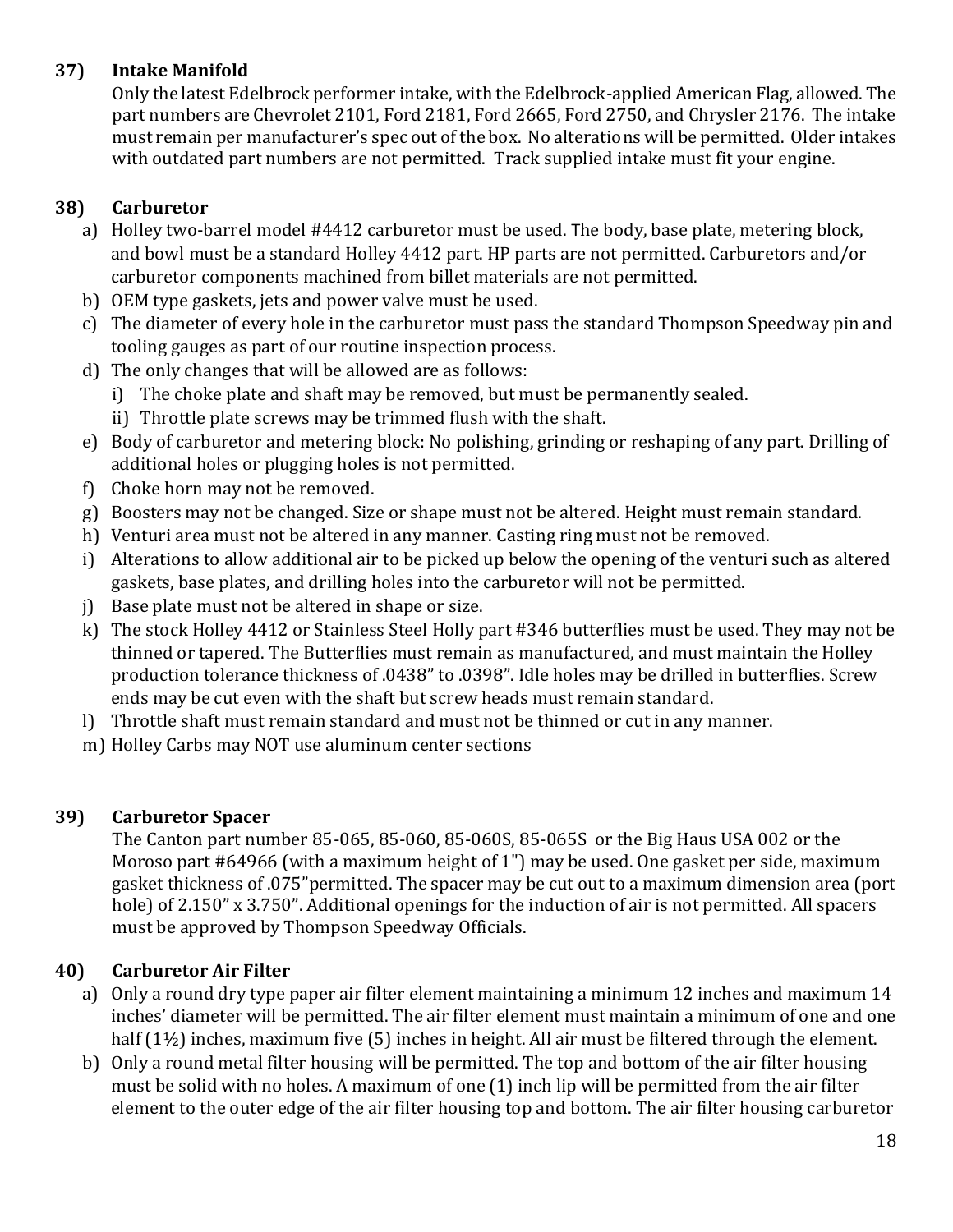### **37) Intake Manifold**

Only the latest Edelbrock performer intake, with the Edelbrock-applied American Flag, allowed. The part numbers are Chevrolet 2101, Ford 2181, Ford 2665, Ford 2750, and Chrysler 2176. The intake must remain per manufacturer's spec out of the box. No alterations will be permitted. Older intakes with outdated part numbers are not permitted. Track supplied intake must fit your engine.

### **38) Carburetor**

- a) Holley two-barrel model #4412 carburetor must be used. The body, base plate, metering block, and bowl must be a standard Holley 4412 part. HP parts are not permitted. Carburetors and/or carburetor components machined from billet materials are not permitted.
- b) OEM type gaskets, jets and power valve must be used.
- c) The diameter of every hole in the carburetor must pass the standard Thompson Speedway pin and tooling gauges as part of our routine inspection process.
- d) The only changes that will be allowed are as follows:
	- i) The choke plate and shaft may be removed, but must be permanently sealed.
	- ii) Throttle plate screws may be trimmed flush with the shaft.
- e) Body of carburetor and metering block: No polishing, grinding or reshaping of any part. Drilling of additional holes or plugging holes is not permitted.
- f) Choke horn may not be removed.
- g) Boosters may not be changed. Size or shape must not be altered. Height must remain standard.
- h) Venturi area must not be altered in any manner. Casting ring must not be removed.
- i) Alterations to allow additional air to be picked up below the opening of the venturi such as altered gaskets, base plates, and drilling holes into the carburetor will not be permitted.
- j) Base plate must not be altered in shape or size.
- k) The stock Holley 4412 or Stainless Steel Holly part #346 butterflies must be used. They may not be thinned or tapered. The Butterflies must remain as manufactured, and must maintain the Holley production tolerance thickness of .0438" to .0398". Idle holes may be drilled in butterflies. Screw ends may be cut even with the shaft but screw heads must remain standard.
- l) Throttle shaft must remain standard and must not be thinned or cut in any manner.
- m) Holley Carbs may NOT use aluminum center sections

### **39) Carburetor Spacer**

The Canton part number 85-065, 85-060, 85-060S, 85-065S or the Big Haus USA 002 or the Moroso part #64966 (with a maximum height of 1") may be used. One gasket per side, maximum gasket thickness of .075"permitted. The spacer may be cut out to a maximum dimension area (port hole) of 2.150" x 3.750". Additional openings for the induction of air is not permitted. All spacers must be approved by Thompson Speedway Officials.

### **40) Carburetor Air Filter**

- a) Only a round dry type paper air filter element maintaining a minimum 12 inches and maximum 14 inches' diameter will be permitted. The air filter element must maintain a minimum of one and one half (1½) inches, maximum five (5) inches in height. All air must be filtered through the element.
- b) Only a round metal filter housing will be permitted. The top and bottom of the air filter housing must be solid with no holes. A maximum of one (1) inch lip will be permitted from the air filter element to the outer edge of the air filter housing top and bottom. The air filter housing carburetor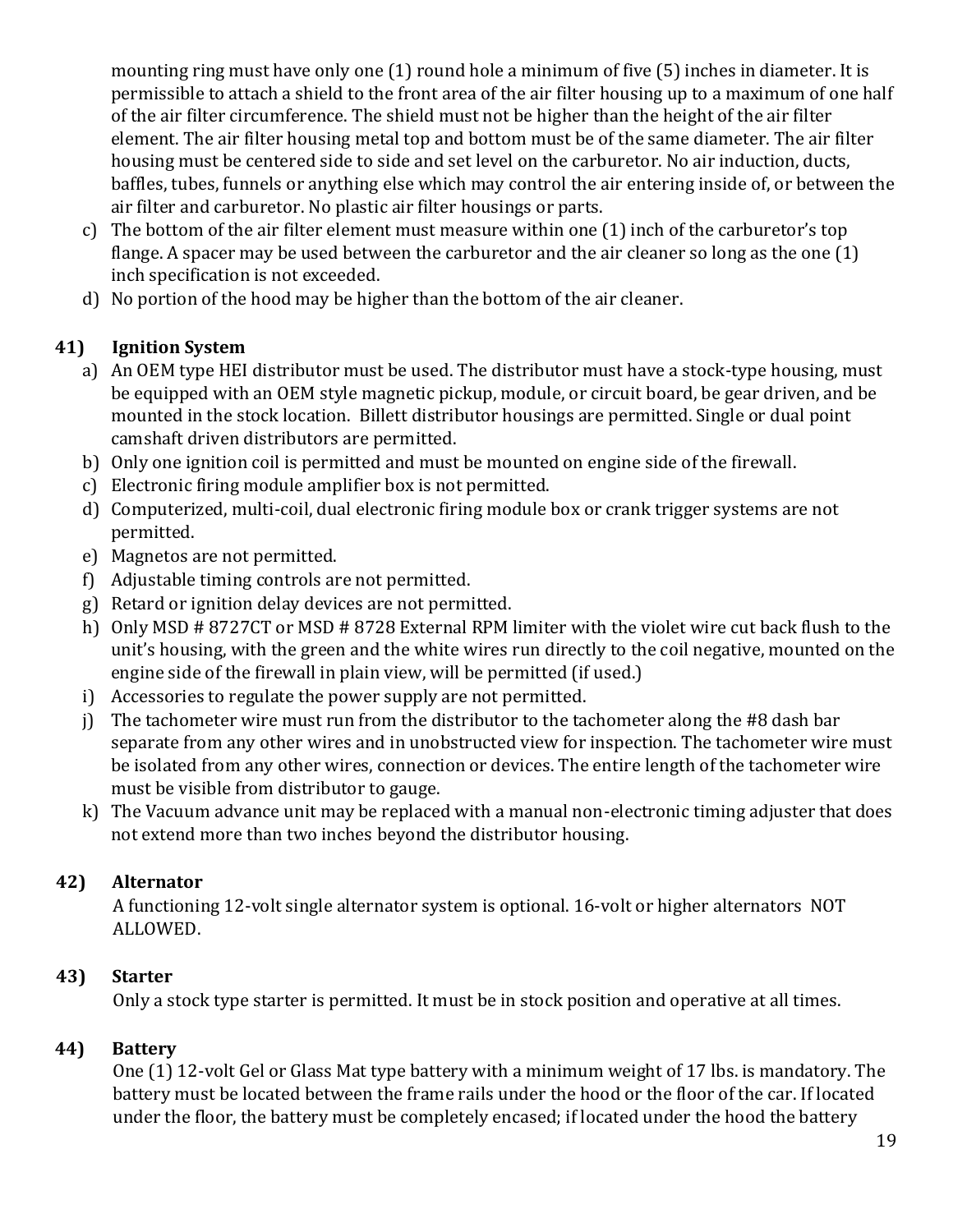mounting ring must have only one (1) round hole a minimum of five (5) inches in diameter. It is permissible to attach a shield to the front area of the air filter housing up to a maximum of one half of the air filter circumference. The shield must not be higher than the height of the air filter element. The air filter housing metal top and bottom must be of the same diameter. The air filter housing must be centered side to side and set level on the carburetor. No air induction, ducts, baffles, tubes, funnels or anything else which may control the air entering inside of, or between the air filter and carburetor. No plastic air filter housings or parts.

- c) The bottom of the air filter element must measure within one (1) inch of the carburetor's top flange. A spacer may be used between the carburetor and the air cleaner so long as the one (1) inch specification is not exceeded.
- d) No portion of the hood may be higher than the bottom of the air cleaner.

### **41) Ignition System**

- a) An OEM type HEI distributor must be used. The distributor must have a stock-type housing, must be equipped with an OEM style magnetic pickup, module, or circuit board, be gear driven, and be mounted in the stock location. Billett distributor housings are permitted. Single or dual point camshaft driven distributors are permitted.
- b) Only one ignition coil is permitted and must be mounted on engine side of the firewall.
- c) Electronic firing module amplifier box is not permitted.
- d) Computerized, multi-coil, dual electronic firing module box or crank trigger systems are not permitted.
- e) Magnetos are not permitted.
- f) Adjustable timing controls are not permitted.
- g) Retard or ignition delay devices are not permitted.
- h) Only MSD # 8727CT or MSD # 8728 External RPM limiter with the violet wire cut back flush to the unit's housing, with the green and the white wires run directly to the coil negative, mounted on the engine side of the firewall in plain view, will be permitted (if used.)
- i) Accessories to regulate the power supply are not permitted.
- j) The tachometer wire must run from the distributor to the tachometer along the #8 dash bar separate from any other wires and in unobstructed view for inspection. The tachometer wire must be isolated from any other wires, connection or devices. The entire length of the tachometer wire must be visible from distributor to gauge.
- k) The Vacuum advance unit may be replaced with a manual non-electronic timing adjuster that does not extend more than two inches beyond the distributor housing.

### **42) Alternator**

A functioning 12-volt single alternator system is optional. 16-volt or higher alternators NOT ALLOWED.

### **43) Starter**

Only a stock type starter is permitted. It must be in stock position and operative at all times.

## **44) Battery**

One (1) 12-volt Gel or Glass Mat type battery with a minimum weight of 17 lbs. is mandatory. The battery must be located between the frame rails under the hood or the floor of the car. If located under the floor, the battery must be completely encased; if located under the hood the battery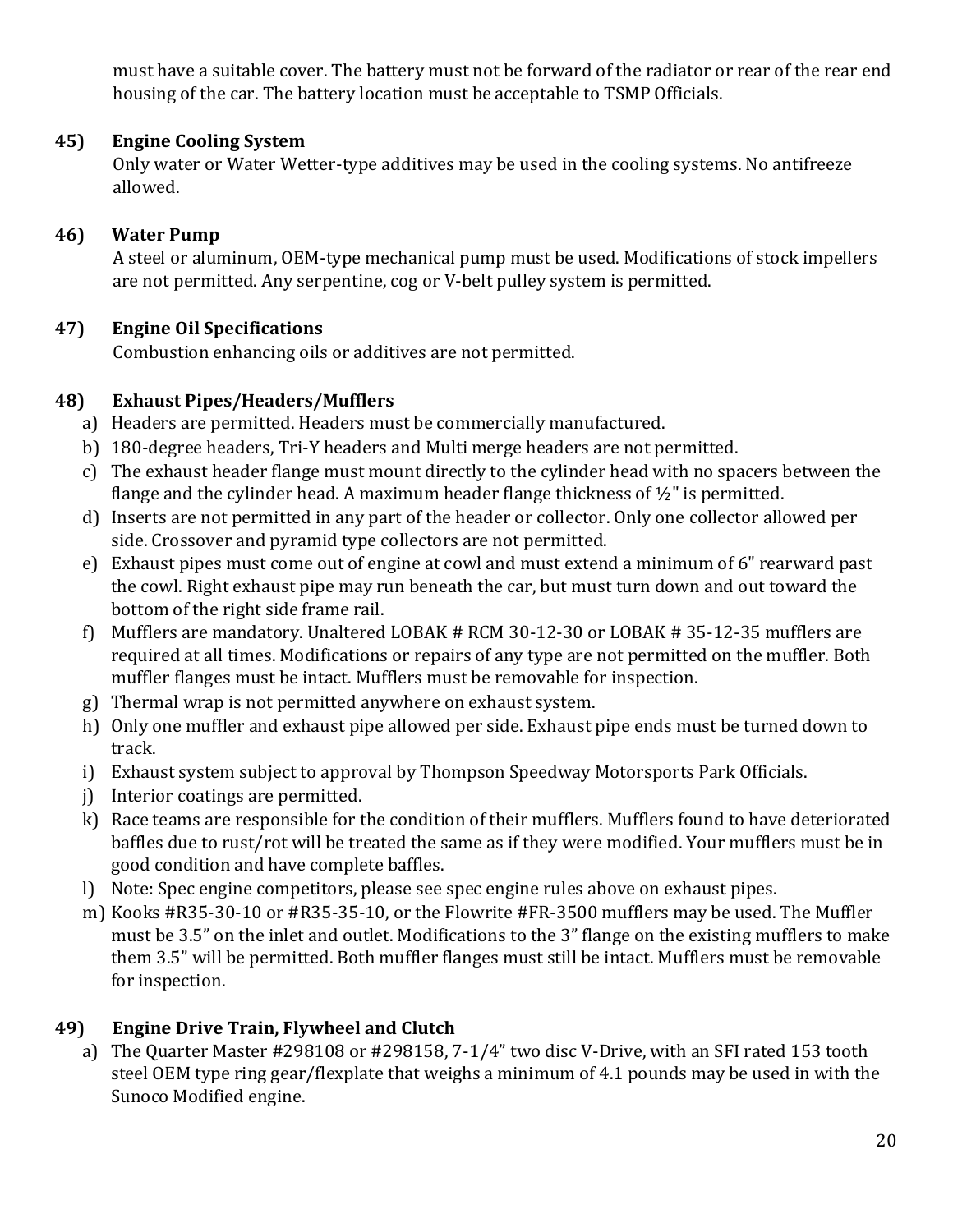must have a suitable cover. The battery must not be forward of the radiator or rear of the rear end housing of the car. The battery location must be acceptable to TSMP Officials.

#### **45) Engine Cooling System**

Only water or Water Wetter-type additives may be used in the cooling systems. No antifreeze allowed.

### **46) Water Pump**

A steel or aluminum, OEM-type mechanical pump must be used. Modifications of stock impellers are not permitted. Any serpentine, cog or V-belt pulley system is permitted.

### **47) Engine Oil Specifications**

Combustion enhancing oils or additives are not permitted.

### **48) Exhaust Pipes/Headers/Mufflers**

- a) Headers are permitted. Headers must be commercially manufactured.
- b) 180-degree headers, Tri-Y headers and Multi merge headers are not permitted.
- c) The exhaust header flange must mount directly to the cylinder head with no spacers between the flange and the cylinder head. A maximum header flange thickness of  $\frac{1}{2}$ " is permitted.
- d) Inserts are not permitted in any part of the header or collector. Only one collector allowed per side. Crossover and pyramid type collectors are not permitted.
- e) Exhaust pipes must come out of engine at cowl and must extend a minimum of 6" rearward past the cowl. Right exhaust pipe may run beneath the car, but must turn down and out toward the bottom of the right side frame rail.
- f) Mufflers are mandatory. Unaltered LOBAK # RCM 30-12-30 or LOBAK # 35-12-35 mufflers are required at all times. Modifications or repairs of any type are not permitted on the muffler. Both muffler flanges must be intact. Mufflers must be removable for inspection.
- g) Thermal wrap is not permitted anywhere on exhaust system.
- h) Only one muffler and exhaust pipe allowed per side. Exhaust pipe ends must be turned down to track.
- i) Exhaust system subject to approval by Thompson Speedway Motorsports Park Officials.
- j) Interior coatings are permitted.
- k) Race teams are responsible for the condition of their mufflers. Mufflers found to have deteriorated baffles due to rust/rot will be treated the same as if they were modified. Your mufflers must be in good condition and have complete baffles.
- l) Note: Spec engine competitors, please see spec engine rules above on exhaust pipes.
- m) Kooks #R35-30-10 or #R35-35-10, or the Flowrite #FR-3500 mufflers may be used. The Muffler must be 3.5" on the inlet and outlet. Modifications to the 3" flange on the existing mufflers to make them 3.5" will be permitted. Both muffler flanges must still be intact. Mufflers must be removable for inspection.

### **49) Engine Drive Train, Flywheel and Clutch**

a) The Quarter Master #298108 or #298158, 7-1/4" two disc V-Drive, with an SFI rated 153 tooth steel OEM type ring gear/flexplate that weighs a minimum of 4.1 pounds may be used in with the Sunoco Modified engine.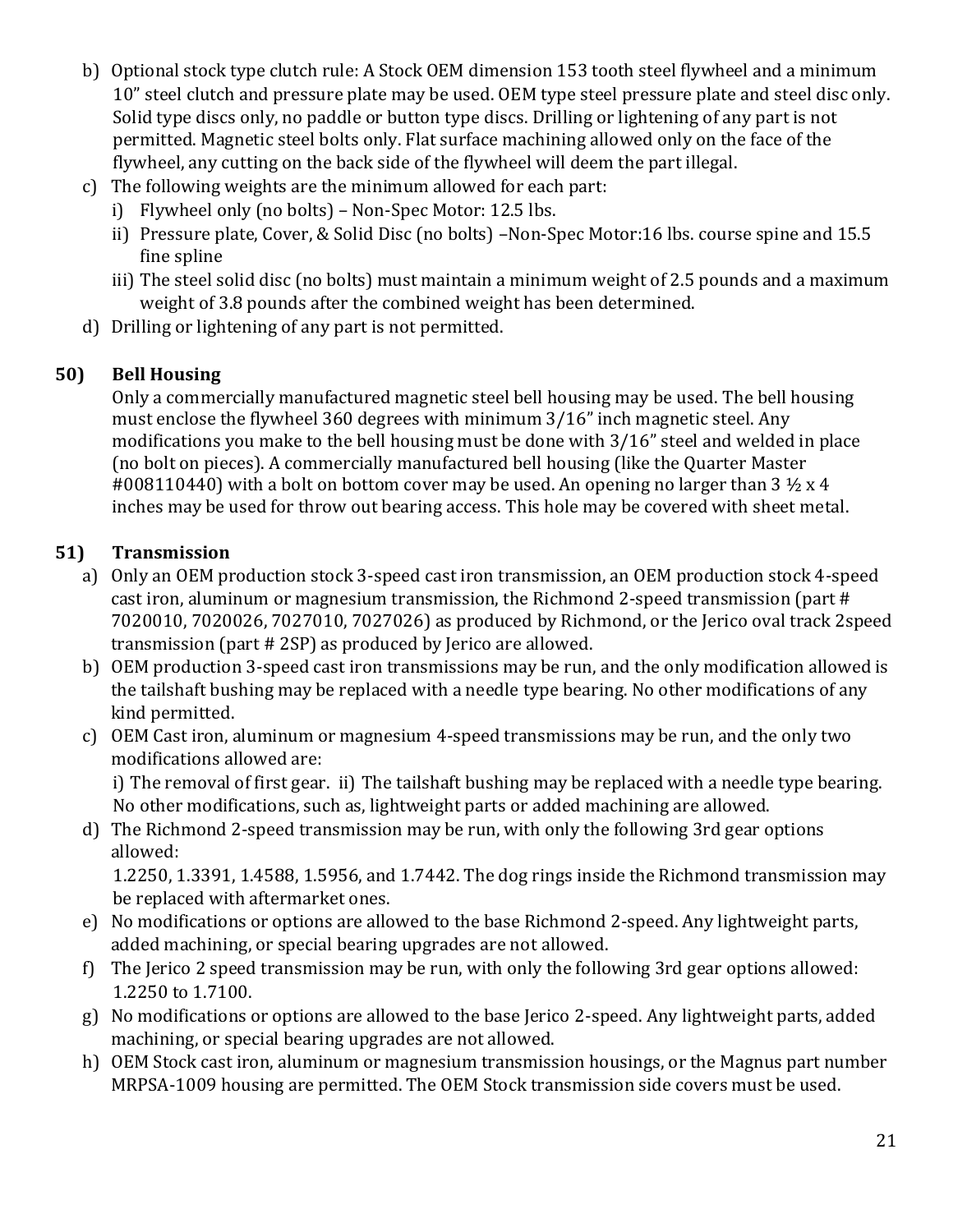- b) Optional stock type clutch rule: A Stock OEM dimension 153 tooth steel flywheel and a minimum 10" steel clutch and pressure plate may be used. OEM type steel pressure plate and steel disc only. Solid type discs only, no paddle or button type discs. Drilling or lightening of any part is not permitted. Magnetic steel bolts only. Flat surface machining allowed only on the face of the flywheel, any cutting on the back side of the flywheel will deem the part illegal.
- c) The following weights are the minimum allowed for each part:
	- i) Flywheel only (no bolts) Non-Spec Motor: 12.5 lbs.
	- ii) Pressure plate, Cover, & Solid Disc (no bolts) –Non-Spec Motor:16 lbs. course spine and 15.5 fine spline
	- iii) The steel solid disc (no bolts) must maintain a minimum weight of 2.5 pounds and a maximum weight of 3.8 pounds after the combined weight has been determined.
- d) Drilling or lightening of any part is not permitted.

## **50) Bell Housing**

Only a commercially manufactured magnetic steel bell housing may be used. The bell housing must enclose the flywheel 360 degrees with minimum 3/16" inch magnetic steel. Any modifications you make to the bell housing must be done with 3/16" steel and welded in place (no bolt on pieces). A commercially manufactured bell housing (like the Quarter Master #008110440) with a bolt on bottom cover may be used. An opening no larger than  $3\frac{1}{2} \times 4$ inches may be used for throw out bearing access. This hole may be covered with sheet metal.

### **51) Transmission**

- a) Only an OEM production stock 3-speed cast iron transmission, an OEM production stock 4-speed cast iron, aluminum or magnesium transmission, the Richmond 2-speed transmission (part # 7020010, 7020026, 7027010, 7027026) as produced by Richmond, or the Jerico oval track 2speed transmission (part # 2SP) as produced by Jerico are allowed.
- b) OEM production 3-speed cast iron transmissions may be run, and the only modification allowed is the tailshaft bushing may be replaced with a needle type bearing. No other modifications of any kind permitted.
- c) OEM Cast iron, aluminum or magnesium 4-speed transmissions may be run, and the only two modifications allowed are:

i) The removal of first gear. ii) The tailshaft bushing may be replaced with a needle type bearing. No other modifications, such as, lightweight parts or added machining are allowed.

d) The Richmond 2-speed transmission may be run, with only the following 3rd gear options allowed:

1.2250, 1.3391, 1.4588, 1.5956, and 1.7442. The dog rings inside the Richmond transmission may be replaced with aftermarket ones.

- e) No modifications or options are allowed to the base Richmond 2-speed. Any lightweight parts, added machining, or special bearing upgrades are not allowed.
- f) The Jerico 2 speed transmission may be run, with only the following 3rd gear options allowed: 1.2250 to 1.7100.
- g) No modifications or options are allowed to the base Jerico 2-speed. Any lightweight parts, added machining, or special bearing upgrades are not allowed.
- h) OEM Stock cast iron, aluminum or magnesium transmission housings, or the Magnus part number MRPSA-1009 housing are permitted. The OEM Stock transmission side covers must be used.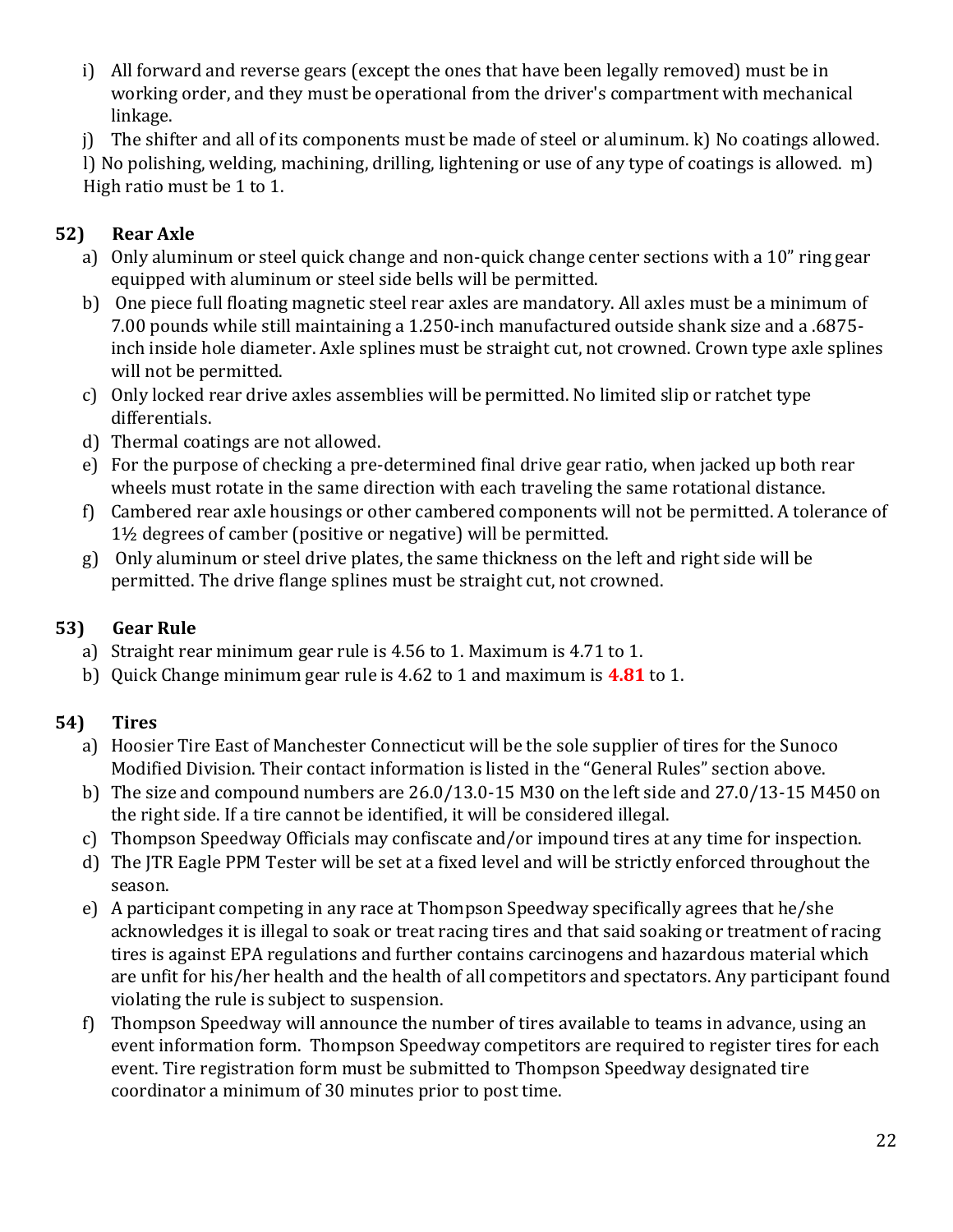- i) All forward and reverse gears (except the ones that have been legally removed) must be in working order, and they must be operational from the driver's compartment with mechanical linkage.
- j) The shifter and all of its components must be made of steel or aluminum. k) No coatings allowed.

l) No polishing, welding, machining, drilling, lightening or use of any type of coatings is allowed. m) High ratio must be 1 to 1.

### **52) Rear Axle**

- a) Only aluminum or steel quick change and non-quick change center sections with a 10" ring gear equipped with aluminum or steel side bells will be permitted.
- b) One piece full floating magnetic steel rear axles are mandatory. All axles must be a minimum of 7.00 pounds while still maintaining a 1.250-inch manufactured outside shank size and a .6875 inch inside hole diameter. Axle splines must be straight cut, not crowned. Crown type axle splines will not be permitted.
- c) Only locked rear drive axles assemblies will be permitted. No limited slip or ratchet type differentials.
- d) Thermal coatings are not allowed.
- e) For the purpose of checking a pre-determined final drive gear ratio, when jacked up both rear wheels must rotate in the same direction with each traveling the same rotational distance.
- f) Cambered rear axle housings or other cambered components will not be permitted. A tolerance of 1½ degrees of camber (positive or negative) will be permitted.
- g) Only aluminum or steel drive plates, the same thickness on the left and right side will be permitted. The drive flange splines must be straight cut, not crowned.

### **53) Gear Rule**

- a) Straight rear minimum gear rule is 4.56 to 1. Maximum is 4.71 to 1.
- b) Quick Change minimum gear rule is 4.62 to 1 and maximum is **4.81** to 1.

## **54) Tires**

- a) Hoosier Tire East of Manchester Connecticut will be the sole supplier of tires for the Sunoco Modified Division. Their contact information is listed in the "General Rules" section above.
- b) The size and compound numbers are 26.0/13.0-15 M30 on the left side and 27.0/13-15 M450 on the right side. If a tire cannot be identified, it will be considered illegal.
- c) Thompson Speedway Officials may confiscate and/or impound tires at any time for inspection.
- d) The JTR Eagle PPM Tester will be set at a fixed level and will be strictly enforced throughout the season.
- e) A participant competing in any race at Thompson Speedway specifically agrees that he/she acknowledges it is illegal to soak or treat racing tires and that said soaking or treatment of racing tires is against EPA regulations and further contains carcinogens and hazardous material which are unfit for his/her health and the health of all competitors and spectators. Any participant found violating the rule is subject to suspension.
- f) Thompson Speedway will announce the number of tires available to teams in advance, using an event information form. Thompson Speedway competitors are required to register tires for each event. Tire registration form must be submitted to Thompson Speedway designated tire coordinator a minimum of 30 minutes prior to post time.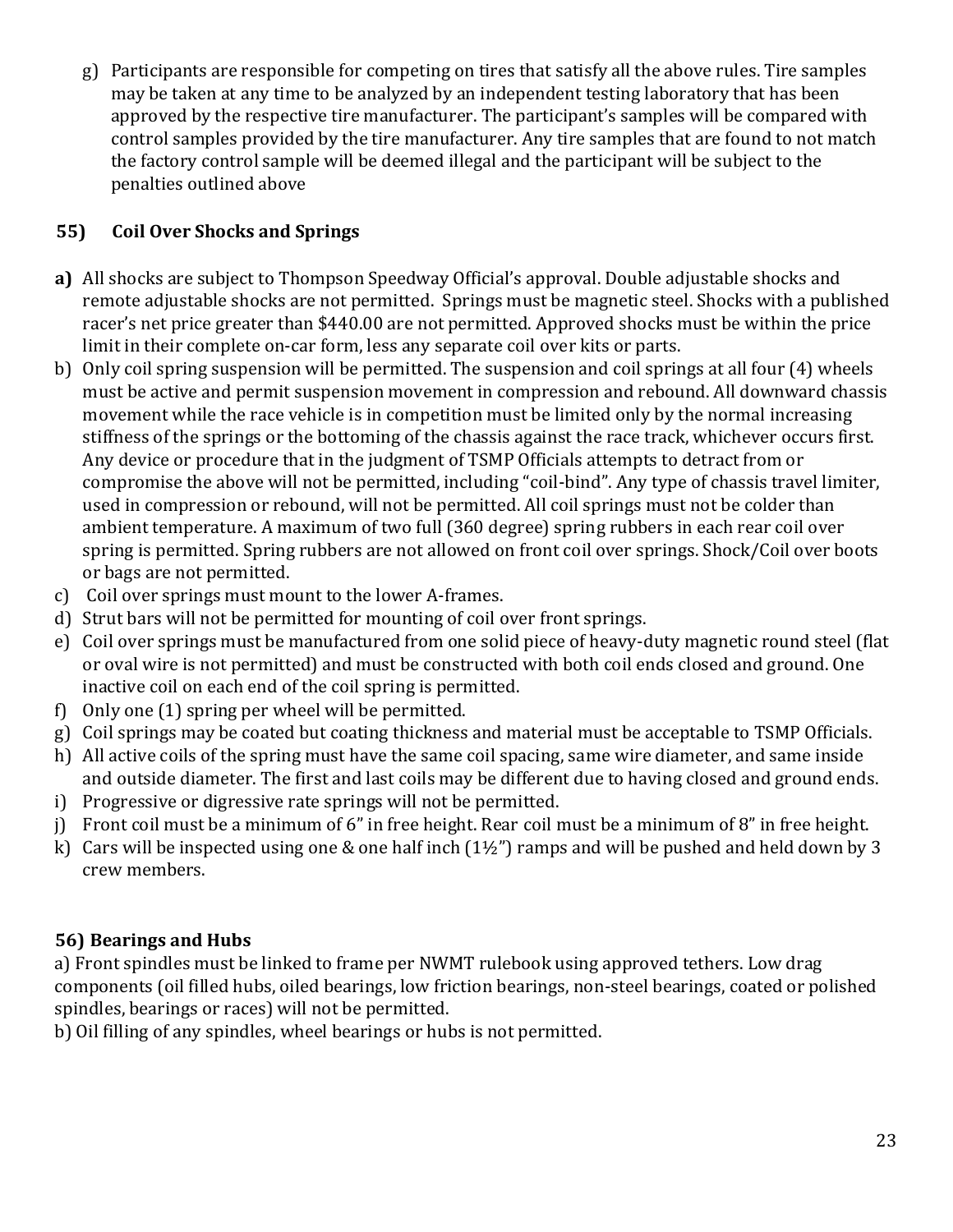g) Participants are responsible for competing on tires that satisfy all the above rules. Tire samples may be taken at any time to be analyzed by an independent testing laboratory that has been approved by the respective tire manufacturer. The participant's samples will be compared with control samples provided by the tire manufacturer. Any tire samples that are found to not match the factory control sample will be deemed illegal and the participant will be subject to the penalties outlined above

## **55) Coil Over Shocks and Springs**

- **a)** All shocks are subject to Thompson Speedway Official's approval. Double adjustable shocks and remote adjustable shocks are not permitted. Springs must be magnetic steel. Shocks with a published racer's net price greater than \$440.00 are not permitted. Approved shocks must be within the price limit in their complete on-car form, less any separate coil over kits or parts.
- b) Only coil spring suspension will be permitted. The suspension and coil springs at all four (4) wheels must be active and permit suspension movement in compression and rebound. All downward chassis movement while the race vehicle is in competition must be limited only by the normal increasing stiffness of the springs or the bottoming of the chassis against the race track, whichever occurs first. Any device or procedure that in the judgment of TSMP Officials attempts to detract from or compromise the above will not be permitted, including "coil-bind". Any type of chassis travel limiter, used in compression or rebound, will not be permitted. All coil springs must not be colder than ambient temperature. A maximum of two full (360 degree) spring rubbers in each rear coil over spring is permitted. Spring rubbers are not allowed on front coil over springs. Shock/Coil over boots or bags are not permitted.
- c) Coil over springs must mount to the lower A-frames.
- d) Strut bars will not be permitted for mounting of coil over front springs.
- e) Coil over springs must be manufactured from one solid piece of heavy-duty magnetic round steel (flat or oval wire is not permitted) and must be constructed with both coil ends closed and ground. One inactive coil on each end of the coil spring is permitted.
- f) Only one (1) spring per wheel will be permitted.
- g) Coil springs may be coated but coating thickness and material must be acceptable to TSMP Officials.
- h) All active coils of the spring must have the same coil spacing, same wire diameter, and same inside and outside diameter. The first and last coils may be different due to having closed and ground ends.
- i) Progressive or digressive rate springs will not be permitted.
- j) Front coil must be a minimum of 6" in free height. Rear coil must be a minimum of 8" in free height.
- k) Cars will be inspected using one & one half inch  $(1\frac{1}{2})$  ramps and will be pushed and held down by 3 crew members.

### **56) Bearings and Hubs**

a) Front spindles must be linked to frame per NWMT rulebook using approved tethers. Low drag components (oil filled hubs, oiled bearings, low friction bearings, non-steel bearings, coated or polished spindles, bearings or races) will not be permitted.

b) Oil filling of any spindles, wheel bearings or hubs is not permitted.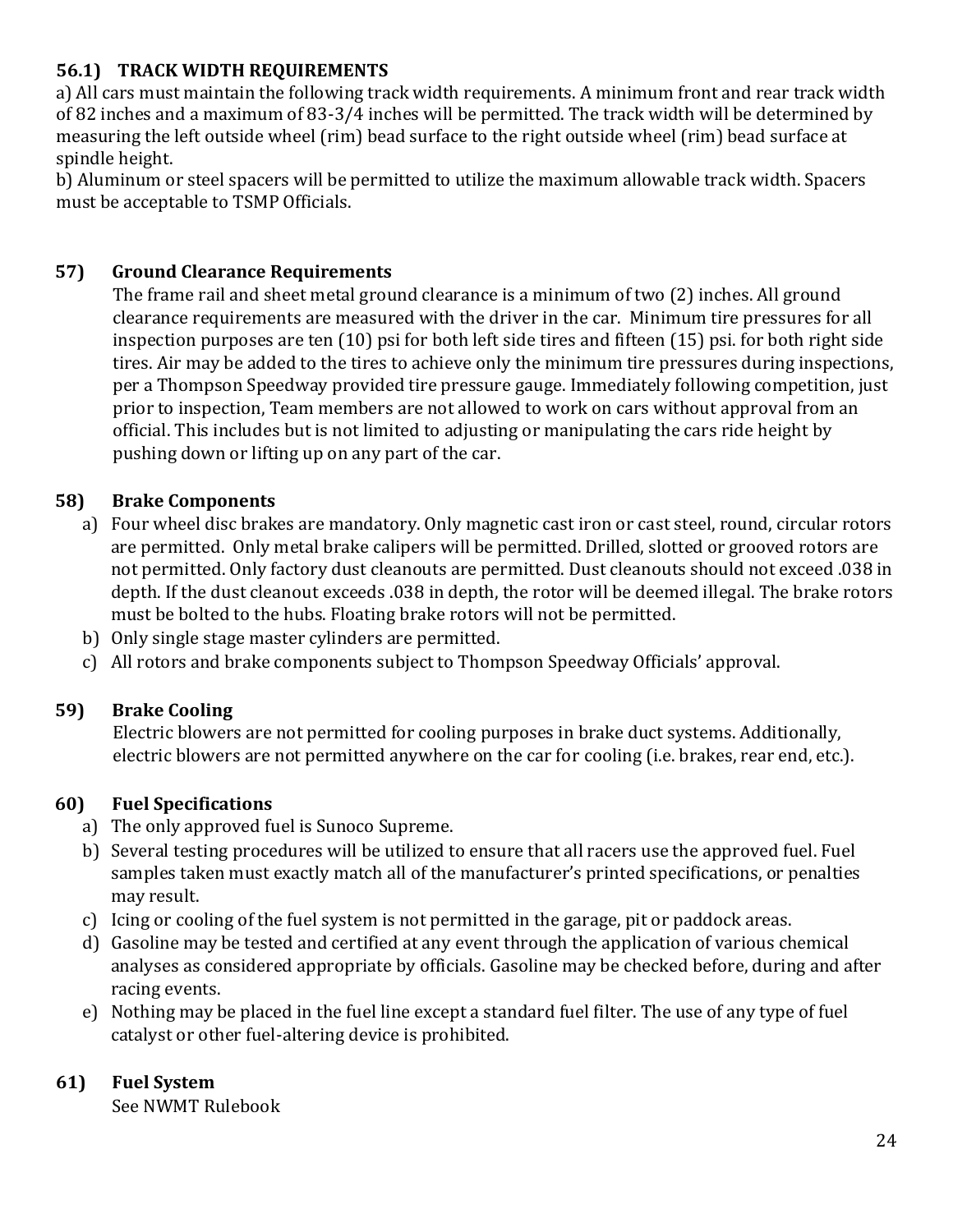### **56.1) TRACK WIDTH REQUIREMENTS**

a) All cars must maintain the following track width requirements. A minimum front and rear track width of 82 inches and a maximum of 83-3/4 inches will be permitted. The track width will be determined by measuring the left outside wheel (rim) bead surface to the right outside wheel (rim) bead surface at spindle height.

b) Aluminum or steel spacers will be permitted to utilize the maximum allowable track width. Spacers must be acceptable to TSMP Officials.

#### **57) Ground Clearance Requirements**

The frame rail and sheet metal ground clearance is a minimum of two (2) inches. All ground clearance requirements are measured with the driver in the car. Minimum tire pressures for all inspection purposes are ten (10) psi for both left side tires and fifteen (15) psi. for both right side tires. Air may be added to the tires to achieve only the minimum tire pressures during inspections, per a Thompson Speedway provided tire pressure gauge. Immediately following competition, just prior to inspection, Team members are not allowed to work on cars without approval from an official. This includes but is not limited to adjusting or manipulating the cars ride height by pushing down or lifting up on any part of the car.

#### **58) Brake Components**

- a) Four wheel disc brakes are mandatory. Only magnetic cast iron or cast steel, round, circular rotors are permitted. Only metal brake calipers will be permitted. Drilled, slotted or grooved rotors are not permitted. Only factory dust cleanouts are permitted. Dust cleanouts should not exceed .038 in depth. If the dust cleanout exceeds .038 in depth, the rotor will be deemed illegal. The brake rotors must be bolted to the hubs. Floating brake rotors will not be permitted.
- b) Only single stage master cylinders are permitted.
- c) All rotors and brake components subject to Thompson Speedway Officials' approval.

#### **59) Brake Cooling**

Electric blowers are not permitted for cooling purposes in brake duct systems. Additionally, electric blowers are not permitted anywhere on the car for cooling (i.e. brakes, rear end, etc.).

#### **60) Fuel Specifications**

- a) The only approved fuel is Sunoco Supreme.
- b) Several testing procedures will be utilized to ensure that all racers use the approved fuel. Fuel samples taken must exactly match all of the manufacturer's printed specifications, or penalties may result.
- c) Icing or cooling of the fuel system is not permitted in the garage, pit or paddock areas.
- d) Gasoline may be tested and certified at any event through the application of various chemical analyses as considered appropriate by officials. Gasoline may be checked before, during and after racing events.
- e) Nothing may be placed in the fuel line except a standard fuel filter. The use of any type of fuel catalyst or other fuel-altering device is prohibited.

#### **61) Fuel System**

See NWMT Rulebook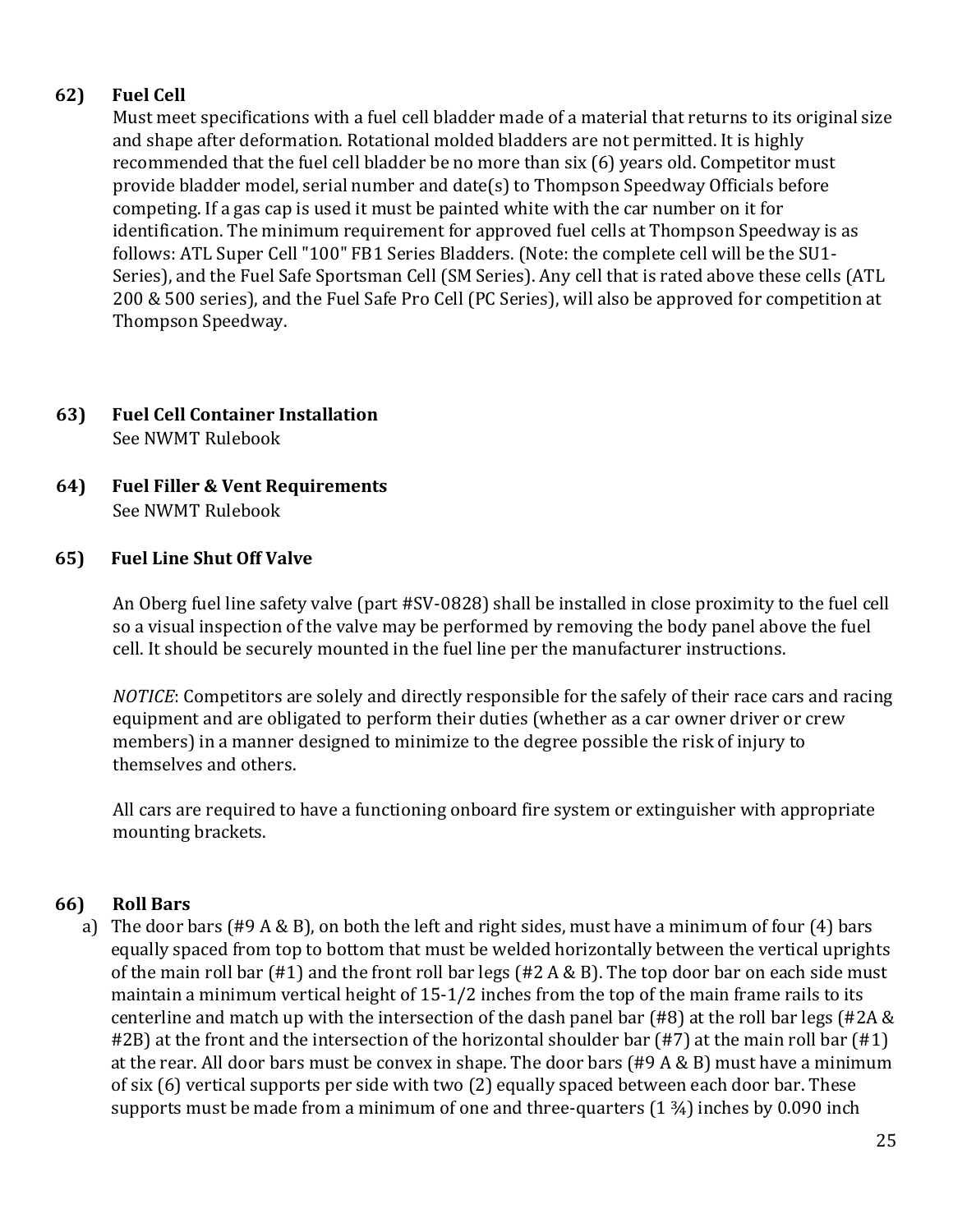### **62) Fuel Cell**

Must meet specifications with a fuel cell bladder made of a material that returns to its original size and shape after deformation. Rotational molded bladders are not permitted. It is highly recommended that the fuel cell bladder be no more than six (6) years old. Competitor must provide bladder model, serial number and date(s) to Thompson Speedway Officials before competing. If a gas cap is used it must be painted white with the car number on it for identification. The minimum requirement for approved fuel cells at Thompson Speedway is as follows: ATL Super Cell "100" FB1 Series Bladders. (Note: the complete cell will be the SU1- Series), and the Fuel Safe Sportsman Cell (SM Series). Any cell that is rated above these cells (ATL 200 & 500 series), and the Fuel Safe Pro Cell (PC Series), will also be approved for competition at Thompson Speedway.

### **63) Fuel Cell Container Installation** See NWMT Rulebook

**64) Fuel Filler & Vent Requirements** See NWMT Rulebook

#### **65) Fuel Line Shut Off Valve**

An Oberg fuel line safety valve (part #SV-0828) shall be installed in close proximity to the fuel cell so a visual inspection of the valve may be performed by removing the body panel above the fuel cell. It should be securely mounted in the fuel line per the manufacturer instructions.

*NOTICE*: Competitors are solely and directly responsible for the safely of their race cars and racing equipment and are obligated to perform their duties (whether as a car owner driver or crew members) in a manner designed to minimize to the degree possible the risk of injury to themselves and others.

All cars are required to have a functioning onboard fire system or extinguisher with appropriate mounting brackets.

#### **66) Roll Bars**

a) The door bars (#9 A & B), on both the left and right sides, must have a minimum of four (4) bars equally spaced from top to bottom that must be welded horizontally between the vertical uprights of the main roll bar  $(\#1)$  and the front roll bar legs  $(\#2 \land \& B)$ . The top door bar on each side must maintain a minimum vertical height of 15-1/2 inches from the top of the main frame rails to its centerline and match up with the intersection of the dash panel bar (#8) at the roll bar legs (#2A & #2B) at the front and the intersection of the horizontal shoulder bar (#7) at the main roll bar (#1) at the rear. All door bars must be convex in shape. The door bars (#9 A & B) must have a minimum of six (6) vertical supports per side with two (2) equally spaced between each door bar. These supports must be made from a minimum of one and three-quarters  $(1 \frac{3}{4})$  inches by 0.090 inch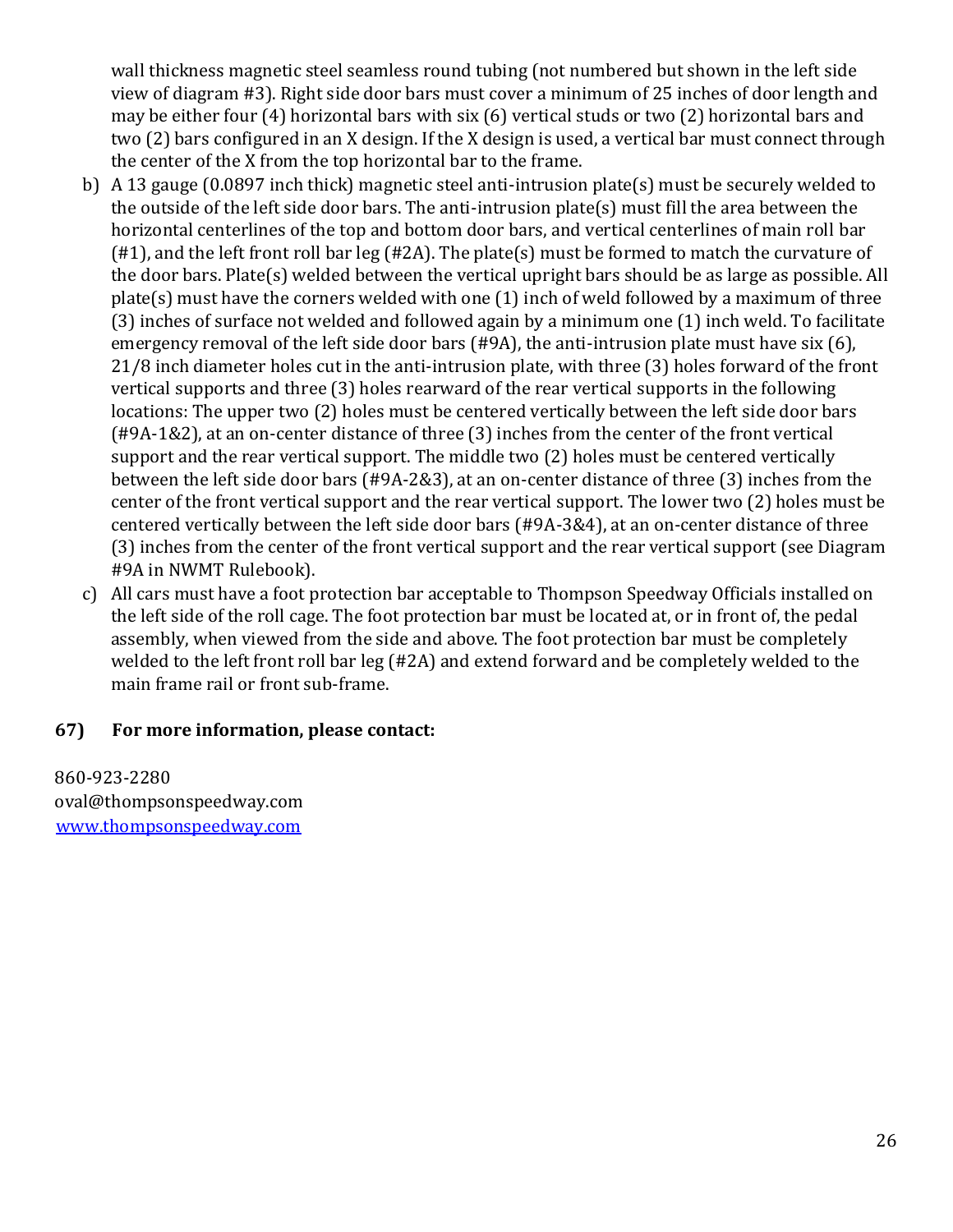wall thickness magnetic steel seamless round tubing (not numbered but shown in the left side view of diagram #3). Right side door bars must cover a minimum of 25 inches of door length and may be either four (4) horizontal bars with six (6) vertical studs or two (2) horizontal bars and two (2) bars configured in an X design. If the X design is used, a vertical bar must connect through the center of the X from the top horizontal bar to the frame.

- b) A 13 gauge (0.0897 inch thick) magnetic steel anti-intrusion plate(s) must be securely welded to the outside of the left side door bars. The anti-intrusion plate(s) must fill the area between the horizontal centerlines of the top and bottom door bars, and vertical centerlines of main roll bar (#1), and the left front roll bar leg (#2A). The plate(s) must be formed to match the curvature of the door bars. Plate(s) welded between the vertical upright bars should be as large as possible. All plate(s) must have the corners welded with one (1) inch of weld followed by a maximum of three (3) inches of surface not welded and followed again by a minimum one (1) inch weld. To facilitate emergency removal of the left side door bars (#9A), the anti-intrusion plate must have six (6), 21/8 inch diameter holes cut in the anti-intrusion plate, with three (3) holes forward of the front vertical supports and three (3) holes rearward of the rear vertical supports in the following locations: The upper two (2) holes must be centered vertically between the left side door bars (#9A-1&2), at an on-center distance of three (3) inches from the center of the front vertical support and the rear vertical support. The middle two (2) holes must be centered vertically between the left side door bars (#9A-2&3), at an on-center distance of three (3) inches from the center of the front vertical support and the rear vertical support. The lower two (2) holes must be centered vertically between the left side door bars (#9A-3&4), at an on-center distance of three (3) inches from the center of the front vertical support and the rear vertical support (see Diagram #9A in NWMT Rulebook).
- c) All cars must have a foot protection bar acceptable to Thompson Speedway Officials installed on the left side of the roll cage. The foot protection bar must be located at, or in front of, the pedal assembly, when viewed from the side and above. The foot protection bar must be completely welded to the left front roll bar leg (#2A) and extend forward and be completely welded to the main frame rail or front sub-frame.

#### **67) For more information, please contact:**

860-923-2280 oval@thompsonspeedway.com [www.thompsonspeedway.com](http://www.thompsonspeedway.com/)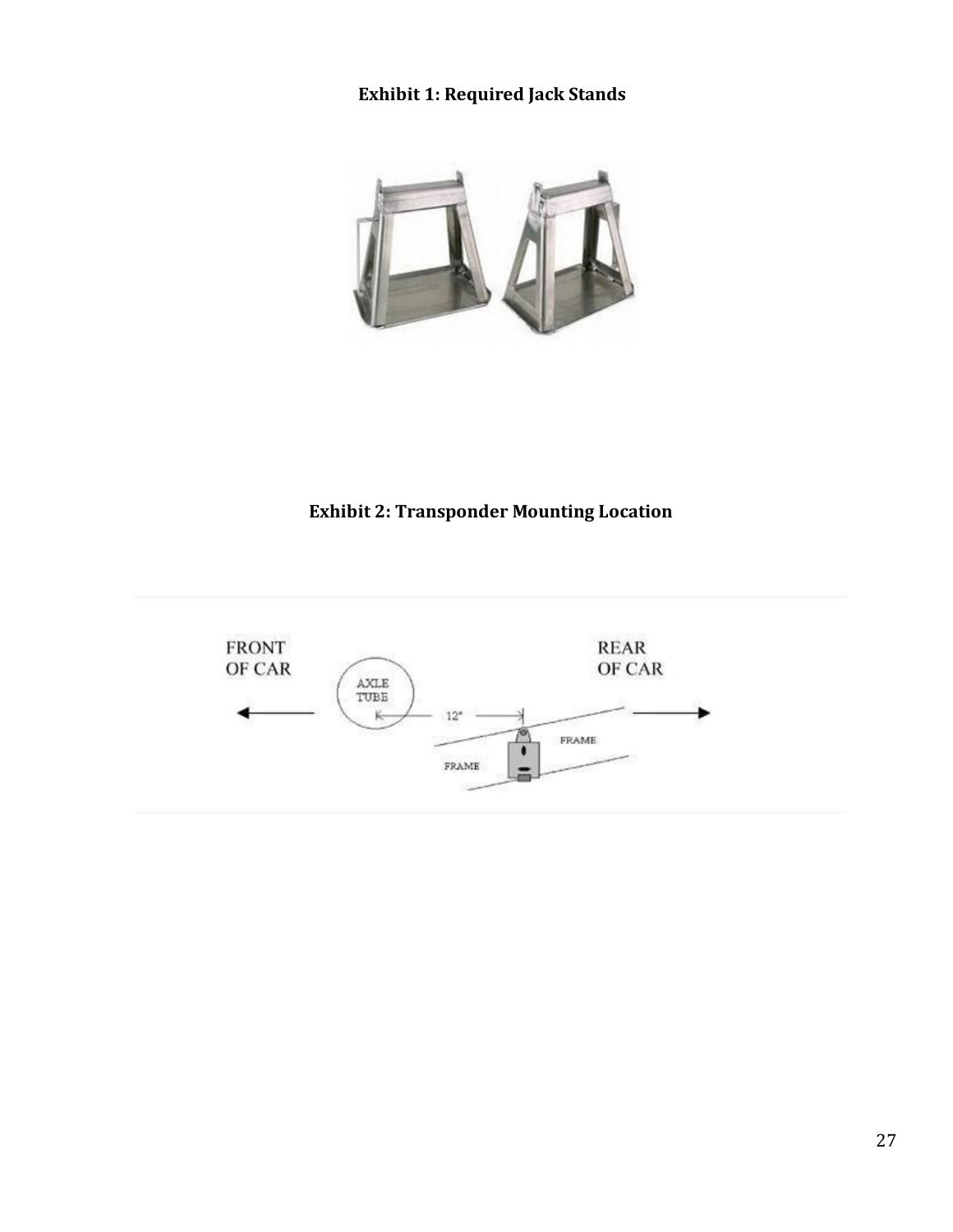### **Exhibit 1: Required Jack Stands**



# **Exhibit 2: Transponder Mounting Location**